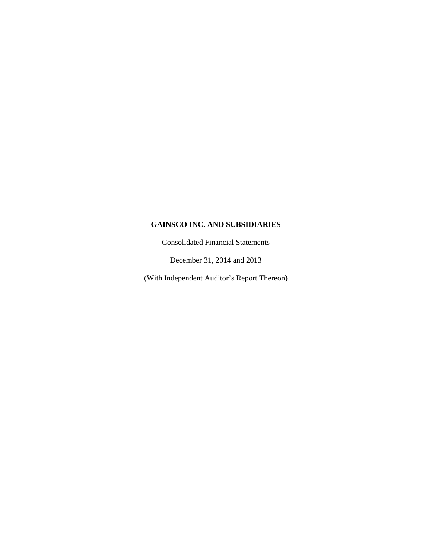Consolidated Financial Statements

December 31, 2014 and 2013

(With Independent Auditor's Report Thereon)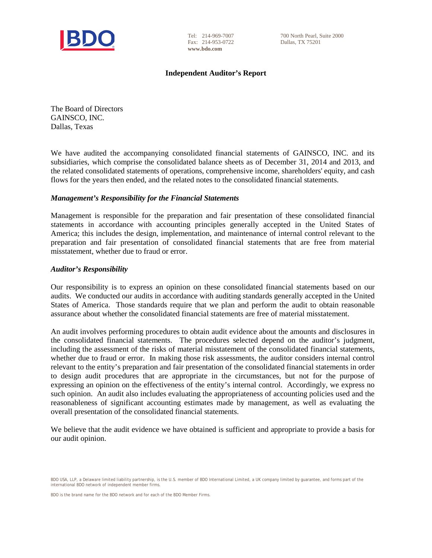

Tel: 214-969-7007 Fax: 214-953-0722 **www.bdo.com**

700 North Pearl, Suite 2000 Dallas, TX 75201

## **Independent Auditor's Report**

The Board of Directors GAINSCO, INC. Dallas, Texas

We have audited the accompanying consolidated financial statements of GAINSCO, INC. and its subsidiaries, which comprise the consolidated balance sheets as of December 31, 2014 and 2013, and the related consolidated statements of operations, comprehensive income, shareholders' equity, and cash flows for the years then ended, and the related notes to the consolidated financial statements.

# *Management's Responsibility for the Financial Statements*

Management is responsible for the preparation and fair presentation of these consolidated financial statements in accordance with accounting principles generally accepted in the United States of America; this includes the design, implementation, and maintenance of internal control relevant to the preparation and fair presentation of consolidated financial statements that are free from material misstatement, whether due to fraud or error.

## *Auditor's Responsibility*

Our responsibility is to express an opinion on these consolidated financial statements based on our audits. We conducted our audits in accordance with auditing standards generally accepted in the United States of America. Those standards require that we plan and perform the audit to obtain reasonable assurance about whether the consolidated financial statements are free of material misstatement.

An audit involves performing procedures to obtain audit evidence about the amounts and disclosures in the consolidated financial statements. The procedures selected depend on the auditor's judgment, including the assessment of the risks of material misstatement of the consolidated financial statements, whether due to fraud or error. In making those risk assessments, the auditor considers internal control relevant to the entity's preparation and fair presentation of the consolidated financial statements in order to design audit procedures that are appropriate in the circumstances, but not for the purpose of expressing an opinion on the effectiveness of the entity's internal control. Accordingly, we express no such opinion. An audit also includes evaluating the appropriateness of accounting policies used and the reasonableness of significant accounting estimates made by management, as well as evaluating the overall presentation of the consolidated financial statements.

We believe that the audit evidence we have obtained is sufficient and appropriate to provide a basis for our audit opinion.

BDO USA, LLP, a Delaware limited liability partnership, is the U.S. member of BDO International Limited, a UK company limited by guarantee, and forms part of the international BDO network of independent member firms.

BDO is the brand name for the BDO network and for each of the BDO Member Firms.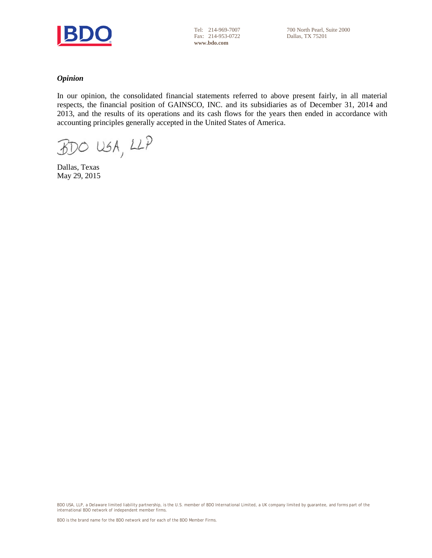

Tel: 214-969-7007 Fax: 214-953-0722 **www.bdo.com**

## *Opinion*

In our opinion, the consolidated financial statements referred to above present fairly, in all material respects, the financial position of GAINSCO, INC. and its subsidiaries as of December 31, 2014 and 2013, and the results of its operations and its cash flows for the years then ended in accordance with accounting principles generally accepted in the United States of America.

 $BDO USA, LLP$ 

Dallas, Texas May 29, 2015

BDO USA, LLP, a Delaware limited liability partnership, is the U.S. member of BDO International Limited, a UK company limited by guarantee, and forms part of the<br>international BDO network of independent member firms.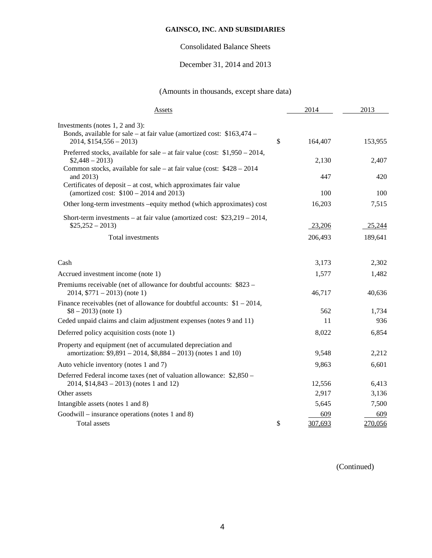# Consolidated Balance Sheets

# December 31, 2014 and 2013

# (Amounts in thousands, except share data)

| Assets                                                                                                                                                    | 2014          | 2013    |
|-----------------------------------------------------------------------------------------------------------------------------------------------------------|---------------|---------|
| Investments (notes 1, 2 and 3):<br>Bonds, available for sale – at fair value (amortized cost: \$163,474 –<br>$2014, $154,556 - 2013$                      | \$<br>164,407 | 153,955 |
| Preferred stocks, available for sale – at fair value (cost: $$1,950 - 2014$ ,<br>$$2,448 - 2013$                                                          | 2,130         | 2,407   |
| Common stocks, available for sale – at fair value (cost: $$428 - 2014$ )<br>and 2013)<br>Certificates of deposit – at cost, which approximates fair value | 447           | 420     |
| (amortized cost: $$100 - 2014$ and 2013)                                                                                                                  | 100           | 100     |
| Other long-term investments -equity method (which approximates) cost                                                                                      | 16,203        | 7,515   |
| Short-term investments – at fair value (amortized cost: $$23,219 - 2014$ ,<br>$$25,252 - 2013)$                                                           | 23,206        | 25,244  |
| Total investments                                                                                                                                         | 206,493       | 189,641 |
| Cash                                                                                                                                                      | 3,173         | 2,302   |
| Accrued investment income (note 1)                                                                                                                        | 1,577         | 1,482   |
| Premiums receivable (net of allowance for doubtful accounts: \$823 –<br>$2014, $771 - 2013$ (note 1)                                                      | 46,717        | 40,636  |
| Finance receivables (net of allowance for doubtful accounts: $$1 - 2014$ ,<br>$$8 - 2013$ (note 1)                                                        | 562           | 1,734   |
| Ceded unpaid claims and claim adjustment expenses (notes 9 and 11)                                                                                        | 11            | 936     |
| Deferred policy acquisition costs (note 1)                                                                                                                | 8,022         | 6,854   |
| Property and equipment (net of accumulated depreciation and<br>amortization: $$9,891 - 2014, $8,884 - 2013$ (notes 1 and 10)                              | 9,548         | 2,212   |
| Auto vehicle inventory (notes 1 and 7)                                                                                                                    | 9,863         | 6,601   |
| Deferred Federal income taxes (net of valuation allowance: \$2,850 –<br>$2014, $14,843 - 2013$ (notes 1 and 12)                                           | 12,556        | 6,413   |
| Other assets                                                                                                                                              | 2,917         | 3,136   |
|                                                                                                                                                           | 5,645         | 7,500   |
| Intangible assets (notes 1 and 8)<br>Goodwill – insurance operations (notes 1 and 8)                                                                      | 609           | 609     |
| Total assets                                                                                                                                              | \$<br>307,693 | 270,056 |

(Continued)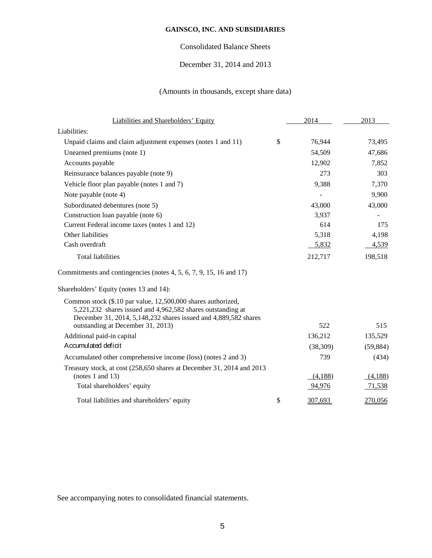# Consolidated Balance Sheets

# December 31, 2014 and 2013

# (Amounts in thousands, except share data)

| Liabilities and Shareholders' Equity                                                                                                                                                           | 2014          | 2013      |
|------------------------------------------------------------------------------------------------------------------------------------------------------------------------------------------------|---------------|-----------|
| Liabilities:                                                                                                                                                                                   |               |           |
| Unpaid claims and claim adjustment expenses (notes 1 and 11)                                                                                                                                   | \$<br>76,944  | 73,495    |
| Unearned premiums (note 1)                                                                                                                                                                     | 54,509        | 47,686    |
| Accounts payable                                                                                                                                                                               | 12,902        | 7,852     |
| Reinsurance balances payable (note 9)                                                                                                                                                          | 273           | 303       |
| Vehicle floor plan payable (notes 1 and 7)                                                                                                                                                     | 9,388         | 7,370     |
| Note payable (note 4)                                                                                                                                                                          |               | 9,900     |
| Subordinated debentures (note 5)                                                                                                                                                               | 43,000        | 43,000    |
| Construction loan payable (note 6)                                                                                                                                                             | 3,937         |           |
| Current Federal income taxes (notes 1 and 12)                                                                                                                                                  | 614           | 175       |
| Other liabilities                                                                                                                                                                              | 5,318         | 4,198     |
| Cash overdraft                                                                                                                                                                                 | 5,832         | 4,539     |
| <b>Total liabilities</b>                                                                                                                                                                       | 212,717       | 198,518   |
| Commitments and contingencies (notes 4, 5, 6, 7, 9, 15, 16 and 17)                                                                                                                             |               |           |
| Shareholders' Equity (notes 13 and 14):                                                                                                                                                        |               |           |
| Common stock (\$.10 par value, 12,500,000 shares authorized,<br>5,221,232 shares issued and 4,962,582 shares outstanding at<br>December 31, 2014, 5,148,232 shares issued and 4,889,582 shares |               |           |
| outstanding at December 31, 2013)                                                                                                                                                              | 522           | 515       |
| Additional paid-in capital                                                                                                                                                                     | 136,212       | 135,529   |
| Accumulated deficit                                                                                                                                                                            | (38,309)      | (59, 884) |
| Accumulated other comprehensive income (loss) (notes 2 and 3)                                                                                                                                  | 739           | (434)     |
| Treasury stock, at cost (258,650 shares at December 31, 2014 and 2013                                                                                                                          |               |           |
| (notes $1$ and $13$ )                                                                                                                                                                          | (4,188)       | (4,188)   |
| Total shareholders' equity                                                                                                                                                                     | 94,976        | 71,538    |
| Total liabilities and shareholders' equity                                                                                                                                                     | \$<br>307,693 | 270,056   |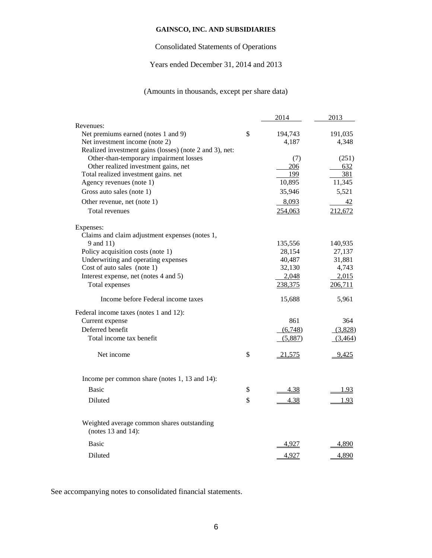# Consolidated Statements of Operations

# Years ended December 31, 2014 and 2013

# (Amounts in thousands, except per share data)

|                                                                                | 2014          | 2013       |
|--------------------------------------------------------------------------------|---------------|------------|
| Revenues:                                                                      |               |            |
| Net premiums earned (notes 1 and 9)                                            | \$<br>194,743 | 191,035    |
| Net investment income (note 2)                                                 | 4,187         | 4,348      |
| Realized investment gains (losses) (note 2 and 3), net:                        |               |            |
| Other-than-temporary impairment losses<br>Other realized investment gains, net | (7)           | (251)      |
| Total realized investment gains. net                                           | 206<br>199    | 632<br>381 |
| Agency revenues (note 1)                                                       | 10,895        | 11,345     |
| Gross auto sales (note 1)                                                      | 35,946        | 5,521      |
|                                                                                |               |            |
| Other revenue, net (note 1)                                                    | 8,093         | 42         |
| Total revenues                                                                 | 254,063       | 212,672    |
| Expenses:                                                                      |               |            |
| Claims and claim adjustment expenses (notes 1,                                 |               |            |
| 9 and 11)                                                                      | 135,556       | 140,935    |
| Policy acquisition costs (note 1)                                              | 28,154        | 27,137     |
| Underwriting and operating expenses                                            | 40,487        | 31,881     |
| Cost of auto sales (note 1)                                                    | 32,130        | 4,743      |
| Interest expense, net (notes 4 and 5)                                          | 2,048         | 2,015      |
| Total expenses                                                                 | 238,375       | 206,711    |
| Income before Federal income taxes                                             | 15,688        | 5,961      |
| Federal income taxes (notes 1 and 12):                                         |               |            |
| Current expense                                                                | 861           | 364        |
| Deferred benefit                                                               | (6,748)       | (3,828)    |
| Total income tax benefit                                                       | (5,887)       | (3,464)    |
| Net income                                                                     | \$<br>21,575  | 9,425      |
| Income per common share (notes 1, 13 and 14):                                  |               |            |
| <b>Basic</b>                                                                   | \$<br>4.38    | 1.93       |
| Diluted                                                                        | \$<br>4.38    | 1.93       |
|                                                                                |               |            |
| Weighted average common shares outstanding<br>(notes $13$ and $14$ ):          |               |            |
| <b>Basic</b>                                                                   | 4,927         | 4,890      |
| Diluted                                                                        | 4,927         | 4,890      |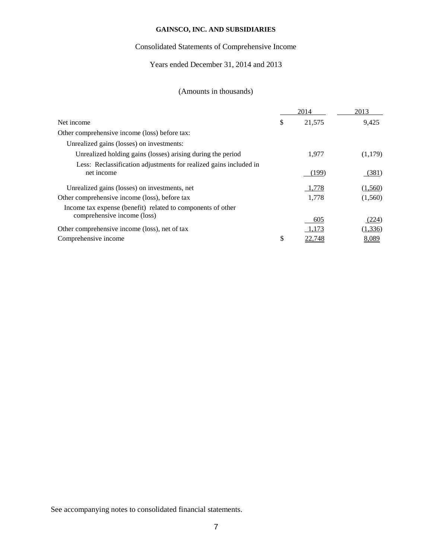# Consolidated Statements of Comprehensive Income

# Years ended December 31, 2014 and 2013

# (Amounts in thousands)

|                                                                                 | 2014         | 2013     |
|---------------------------------------------------------------------------------|--------------|----------|
| Net income                                                                      | \$<br>21,575 | 9,425    |
| Other comprehensive income (loss) before tax:                                   |              |          |
| Unrealized gains (losses) on investments:                                       |              |          |
| Unrealized holding gains (losses) arising during the period                     | 1.977        | (1,179)  |
| Less: Reclassification adjustments for realized gains included in<br>net income | (199)        | (381)    |
| Unrealized gains (losses) on investments, net                                   | 1,778        | (1,560)  |
| Other comprehensive income (loss), before tax                                   | 1,778        | (1,560)  |
| Income tax expense (benefit) related to components of other                     |              |          |
| comprehensive income (loss)                                                     | 605          | (224)    |
| Other comprehensive income (loss), net of tax                                   | 1,173        | (1, 336) |
| Comprehensive income                                                            | \$<br>22,748 | 8,089    |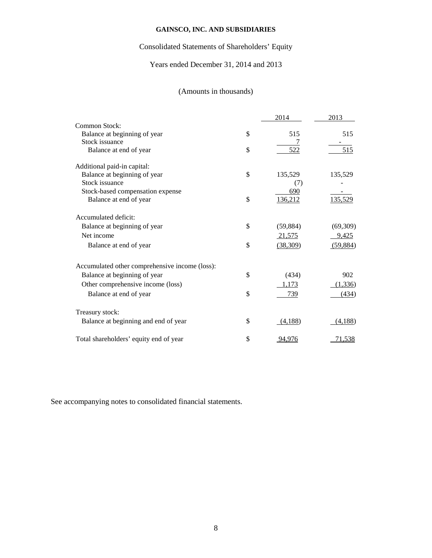# Consolidated Statements of Shareholders' Equity

# Years ended December 31, 2014 and 2013

# (Amounts in thousands)

|                                                | 2014            | 2013     |
|------------------------------------------------|-----------------|----------|
| Common Stock:                                  |                 |          |
| Balance at beginning of year                   | \$<br>515       | 515      |
| Stock issuance                                 |                 |          |
| Balance at end of year                         | \$<br>522       | 515      |
| Additional paid-in capital:                    |                 |          |
| Balance at beginning of year                   | \$<br>135,529   | 135,529  |
| Stock issuance                                 | (7)             |          |
| Stock-based compensation expense               | 690             |          |
| Balance at end of year                         | \$<br>136,212   | 135,529  |
| Accumulated deficit:                           |                 |          |
| Balance at beginning of year                   | \$<br>(59, 884) | (69,309) |
| Net income                                     | 21,575          | 9,425    |
| Balance at end of year                         | \$<br>(38, 309) | (59,884) |
| Accumulated other comprehensive income (loss): |                 |          |
| Balance at beginning of year                   | \$<br>(434)     | 902      |
| Other comprehensive income (loss)              | 1,173           | (1, 336) |
| Balance at end of year                         | \$<br>739       | (434)    |
| Treasury stock:                                |                 |          |
| Balance at beginning and end of year           | \$<br>(4,188)   | (4,188)  |
|                                                |                 |          |
| Total shareholders' equity end of year         | \$<br>94,976    | 71,538   |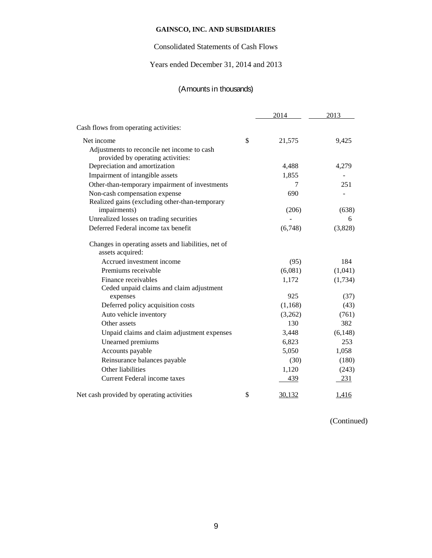# Consolidated Statements of Cash Flows

# Years ended December 31, 2014 and 2013

# (Amounts in thousands)

|                                                                                  | 2014         | 2013         |
|----------------------------------------------------------------------------------|--------------|--------------|
| Cash flows from operating activities:                                            |              |              |
| Net income                                                                       | \$<br>21,575 | 9,425        |
| Adjustments to reconcile net income to cash<br>provided by operating activities: |              |              |
| Depreciation and amortization                                                    | 4,488        | 4,279        |
| Impairment of intangible assets                                                  | 1,855        |              |
| Other-than-temporary impairment of investments                                   | 7            | 251          |
| Non-cash compensation expense                                                    | 690          |              |
| Realized gains (excluding other-than-temporary                                   |              |              |
| impairments)                                                                     | (206)        | (638)        |
| Unrealized losses on trading securities                                          |              | 6            |
| Deferred Federal income tax benefit                                              | (6,748)      | (3,828)      |
| Changes in operating assets and liabilities, net of<br>assets acquired:          |              |              |
| Accrued investment income                                                        | (95)         | 184          |
| Premiums receivable                                                              | (6,081)      | (1,041)      |
| Finance receivables                                                              | 1,172        | (1,734)      |
| Ceded unpaid claims and claim adjustment<br>expenses                             | 925          | (37)         |
| Deferred policy acquisition costs                                                | (1, 168)     | (43)         |
| Auto vehicle inventory                                                           | (3,262)      | (761)        |
| Other assets                                                                     | 130          | 382          |
| Unpaid claims and claim adjustment expenses                                      | 3,448        | (6,148)      |
| Unearned premiums                                                                | 6,823        | 253          |
| Accounts payable                                                                 | 5,050        | 1,058        |
| Reinsurance balances payable                                                     | (30)         | (180)        |
| Other liabilities                                                                | 1,120        | (243)        |
| Current Federal income taxes                                                     | 439          | 231          |
|                                                                                  |              |              |
| Net cash provided by operating activities                                        | \$<br>30,132 | <u>1,416</u> |

(Continued)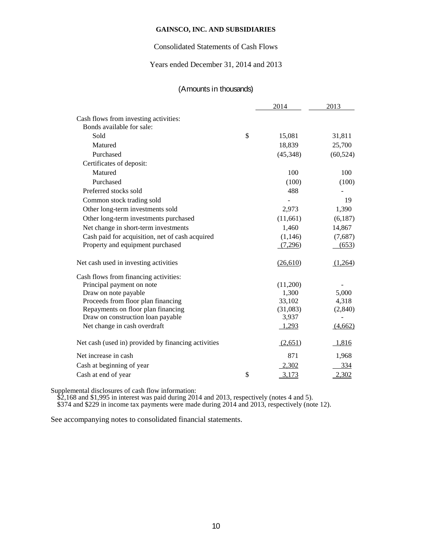# Consolidated Statements of Cash Flows

## Years ended December 31, 2014 and 2013

# (Amounts in thousands)

|                                                     | 2014         | 2013      |
|-----------------------------------------------------|--------------|-----------|
| Cash flows from investing activities:               |              |           |
| Bonds available for sale:                           |              |           |
| Sold                                                | \$<br>15,081 | 31,811    |
| Matured                                             | 18,839       | 25,700    |
| Purchased                                           | (45,348)     | (60, 524) |
| Certificates of deposit:                            |              |           |
| Matured                                             | 100          | 100       |
| Purchased                                           | (100)        | (100)     |
| Preferred stocks sold                               | 488          |           |
| Common stock trading sold                           |              | 19        |
| Other long-term investments sold                    | 2,973        | 1,390     |
| Other long-term investments purchased               | (11,661)     | (6,187)   |
| Net change in short-term investments                | 1,460        | 14,867    |
| Cash paid for acquisition, net of cash acquired     | (1, 146)     | (7,687)   |
| Property and equipment purchased                    | (7,296)      | (653)     |
| Net cash used in investing activities               | (26,610)     | (1,264)   |
| Cash flows from financing activities:               |              |           |
| Principal payment on note                           | (11,200)     |           |
| Draw on note payable                                | 1,300        | 5,000     |
| Proceeds from floor plan financing                  | 33,102       | 4,318     |
| Repayments on floor plan financing                  | (31,083)     | (2, 840)  |
| Draw on construction loan payable                   | 3,937        |           |
| Net change in cash overdraft                        | 1,293        | (4,662)   |
| Net cash (used in) provided by financing activities | (2,651)      | 1,816     |
| Net increase in cash                                | 871          | 1,968     |
| Cash at beginning of year                           | 2,302        | 334       |
| Cash at end of year                                 | \$<br>3,173  | 2,302     |

Supplemental disclosures of cash flow information:

\$2,168 and \$1,995 in interest was paid during 2014 and 2013, respectively (notes 4 and 5). \$374 and \$229 in income tax payments were made during 2014 and 2013, respectively (note 12).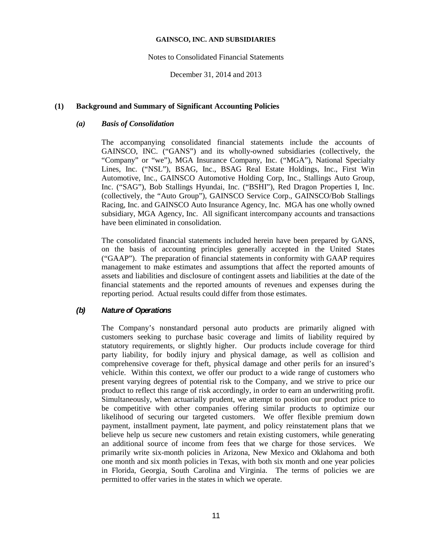### Notes to Consolidated Financial Statements

December 31, 2014 and 2013

## **(1) Background and Summary of Significant Accounting Policies**

## *(a) Basis of Consolidation*

The accompanying consolidated financial statements include the accounts of GAINSCO, INC. ("GANS") and its wholly-owned subsidiaries (collectively, the "Company" or "we"), MGA Insurance Company, Inc. ("MGA"), National Specialty Lines, Inc. ("NSL"), BSAG, Inc., BSAG Real Estate Holdings, Inc., First Win Automotive, Inc., GAINSCO Automotive Holding Corp, Inc., Stallings Auto Group, Inc. ("SAG"), Bob Stallings Hyundai, Inc. ("BSHI"), Red Dragon Properties I, Inc. (collectively, the "Auto Group"), GAINSCO Service Corp., GAINSCO/Bob Stallings Racing, Inc. and GAINSCO Auto Insurance Agency, Inc. MGA has one wholly owned subsidiary, MGA Agency, Inc. All significant intercompany accounts and transactions have been eliminated in consolidation.

The consolidated financial statements included herein have been prepared by GANS, on the basis of accounting principles generally accepted in the United States ("GAAP"). The preparation of financial statements in conformity with GAAP requires management to make estimates and assumptions that affect the reported amounts of assets and liabilities and disclosure of contingent assets and liabilities at the date of the financial statements and the reported amounts of revenues and expenses during the reporting period. Actual results could differ from those estimates.

# *(b) Nature of Operations*

The Company's nonstandard personal auto products are primarily aligned with customers seeking to purchase basic coverage and limits of liability required by statutory requirements, or slightly higher. Our products include coverage for third party liability, for bodily injury and physical damage, as well as collision and comprehensive coverage for theft, physical damage and other perils for an insured's vehicle. Within this context, we offer our product to a wide range of customers who present varying degrees of potential risk to the Company, and we strive to price our product to reflect this range of risk accordingly, in order to earn an underwriting profit. Simultaneously, when actuarially prudent, we attempt to position our product price to be competitive with other companies offering similar products to optimize our likelihood of securing our targeted customers. We offer flexible premium down payment, installment payment, late payment, and policy reinstatement plans that we believe help us secure new customers and retain existing customers, while generating an additional source of income from fees that we charge for those services. We primarily write six-month policies in Arizona, New Mexico and Oklahoma and both one month and six month policies in Texas, with both six month and one year policies in Florida, Georgia, South Carolina and Virginia. The terms of policies we are permitted to offer varies in the states in which we operate.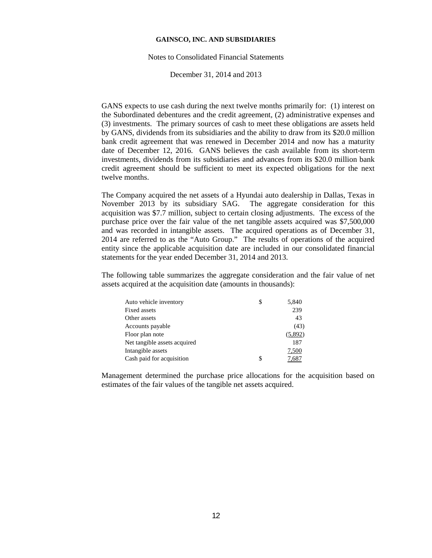#### Notes to Consolidated Financial Statements

December 31, 2014 and 2013

GANS expects to use cash during the next twelve months primarily for: (1) interest on the Subordinated debentures and the credit agreement, (2) administrative expenses and (3) investments. The primary sources of cash to meet these obligations are assets held by GANS, dividends from its subsidiaries and the ability to draw from its \$20.0 million bank credit agreement that was renewed in December 2014 and now has a maturity date of December 12, 2016. GANS believes the cash available from its short-term investments, dividends from its subsidiaries and advances from its \$20.0 million bank credit agreement should be sufficient to meet its expected obligations for the next twelve months.

The Company acquired the net assets of a Hyundai auto dealership in Dallas, Texas in November 2013 by its subsidiary SAG. The aggregate consideration for this acquisition was \$7.7 million, subject to certain closing adjustments. The excess of the purchase price over the fair value of the net tangible assets acquired was \$7,500,000 and was recorded in intangible assets. The acquired operations as of December 31, 2014 are referred to as the "Auto Group." The results of operations of the acquired entity since the applicable acquisition date are included in our consolidated financial statements for the year ended December 31, 2014 and 2013.

The following table summarizes the aggregate consideration and the fair value of net assets acquired at the acquisition date (amounts in thousands):

| Auto vehicle inventory       | \$ | 5,840   |
|------------------------------|----|---------|
| Fixed assets                 |    | 239     |
| Other assets                 |    | 43      |
| Accounts payable             |    | (43)    |
| Floor plan note              |    | (5,892) |
| Net tangible assets acquired |    | 187     |
| Intangible assets            |    | 7,500   |
| Cash paid for acquisition    | S. | 7.68    |

Management determined the purchase price allocations for the acquisition based on estimates of the fair values of the tangible net assets acquired.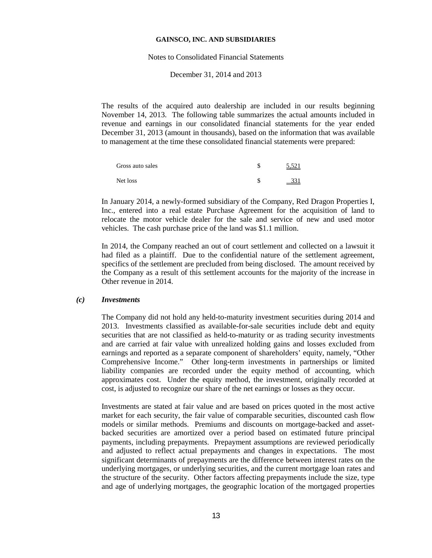#### Notes to Consolidated Financial Statements

December 31, 2014 and 2013

The results of the acquired auto dealership are included in our results beginning November 14, 2013. The following table summarizes the actual amounts included in revenue and earnings in our consolidated financial statements for the year ended December 31, 2013 (amount in thousands), based on the information that was available to management at the time these consolidated financial statements were prepared:

| Gross auto sales | 5,521 |
|------------------|-------|
| Net loss         | JJ 1  |

In January 2014, a newly-formed subsidiary of the Company, Red Dragon Properties I, Inc., entered into a real estate Purchase Agreement for the acquisition of land to relocate the motor vehicle dealer for the sale and service of new and used motor vehicles. The cash purchase price of the land was \$1.1 million.

In 2014, the Company reached an out of court settlement and collected on a lawsuit it had filed as a plaintiff. Due to the confidential nature of the settlement agreement, specifics of the settlement are precluded from being disclosed. The amount received by the Company as a result of this settlement accounts for the majority of the increase in Other revenue in 2014.

## *(c) Investments*

The Company did not hold any held-to-maturity investment securities during 2014 and 2013. Investments classified as available-for-sale securities include debt and equity securities that are not classified as held-to-maturity or as trading security investments and are carried at fair value with unrealized holding gains and losses excluded from earnings and reported as a separate component of shareholders' equity, namely, "Other Comprehensive Income." Other long-term investments in partnerships or limited liability companies are recorded under the equity method of accounting, which approximates cost. Under the equity method, the investment, originally recorded at cost, is adjusted to recognize our share of the net earnings or losses as they occur.

Investments are stated at fair value and are based on prices quoted in the most active market for each security, the fair value of comparable securities, discounted cash flow models or similar methods. Premiums and discounts on mortgage-backed and assetbacked securities are amortized over a period based on estimated future principal payments, including prepayments. Prepayment assumptions are reviewed periodically and adjusted to reflect actual prepayments and changes in expectations. The most significant determinants of prepayments are the difference between interest rates on the underlying mortgages, or underlying securities, and the current mortgage loan rates and the structure of the security. Other factors affecting prepayments include the size, type and age of underlying mortgages, the geographic location of the mortgaged properties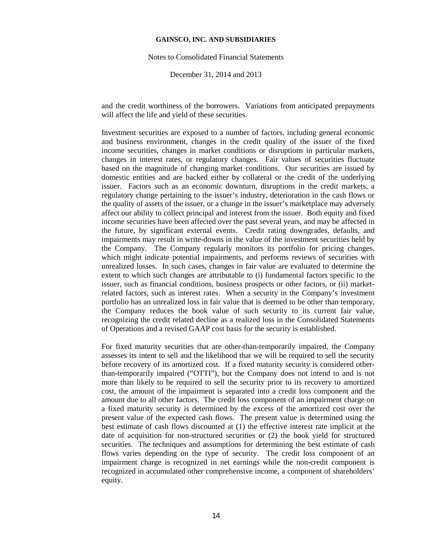Notes to Consolidated Financial Statements

December 31, 2014 and 2013

and the credit worthiness of the borrowers. Variations from anticipated prepayments will affect the life and yield of these securities.

Investment securities are exposed to a number of factors, including general economic and business environment, changes in the credit quality of the issuer of the fixed income securities, changes in market conditions or disruptions in particular markets, changes in interest rates, or regulatory changes. Fair values of securities fluctuate based on the magnitude of changing market conditions. Our securities are issued by domestic entities and are backed either by collateral or the credit of the underlying issuer. Factors such as an economic downturn, disruptions in the credit markets, a regulatory change pertaining to the issuer's industry, deterioration in the cash flows or the quality of assets of the issuer, or a change in the issuer's marketplace may adversely affect our ability to collect principal and interest from the issuer. Both equity and fixed income securities have been affected over the past several years, and may be affected in the future, by significant external events. Credit rating downgrades, defaults, and impairments may result in write-downs in the value of the investment securities held by the Company. The Company regularly monitors its portfolio for pricing changes, which might indicate potential impairments, and performs reviews of securities with unrealized losses. In such cases, changes in fair value are evaluated to determine the extent to which such changes are attributable to (i) fundamental factors specific to the issuer, such as financial conditions, business prospects or other factors, or (ii) marketrelated factors, such as interest rates. When a security in the Company's investment portfolio has an unrealized loss in fair value that is deemed to be other than temporary, the Company reduces the book value of such security to its current fair value, recognizing the credit related decline as a realized loss in the Consolidated Statements of Operations and a revised GAAP cost basis for the security is established.

For fixed maturity securities that are other-than-temporarily impaired, the Company assesses its intent to sell and the likelihood that we will be required to sell the security before recovery of its amortized cost. If a fixed maturity security is considered otherthan-temporarily impaired ("OTTI"), but the Company does not intend to and is not more than likely to be required to sell the security prior to its recovery to amortized cost, the amount of the impairment is separated into a credit loss component and the amount due to all other factors. The credit loss component of an impairment charge on a fixed maturity security is determined by the excess of the amortized cost over the present value of the expected cash flows. The present value is determined using the best estimate of cash flows discounted at (1) the effective interest rate implicit at the date of acquisition for non-structured securities or (2) the book yield for structured securities. The techniques and assumptions for determining the best estimate of cash flows varies depending on the type of security. The credit loss component of an impairment charge is recognized in net earnings while the non-credit component is recognized in accumulated other comprehensive income, a component of shareholders' equity.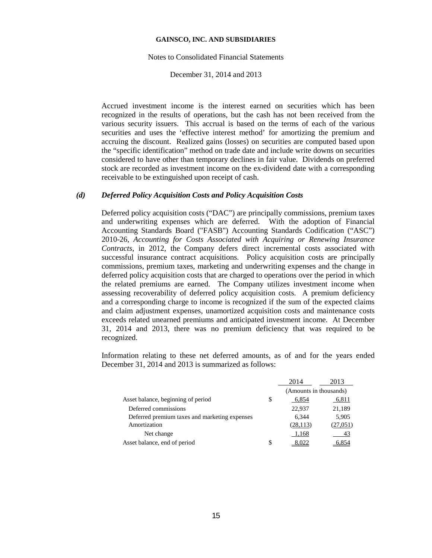#### Notes to Consolidated Financial Statements

December 31, 2014 and 2013

Accrued investment income is the interest earned on securities which has been recognized in the results of operations, but the cash has not been received from the various security issuers. This accrual is based on the terms of each of the various securities and uses the 'effective interest method' for amortizing the premium and accruing the discount. Realized gains (losses) on securities are computed based upon the "specific identification" method on trade date and include write downs on securities considered to have other than temporary declines in fair value. Dividends on preferred stock are recorded as investment income on the ex-dividend date with a corresponding receivable to be extinguished upon receipt of cash.

## *(d) Deferred Policy Acquisition Costs and Policy Acquisition Costs*

Deferred policy acquisition costs ("DAC") are principally commissions, premium taxes and underwriting expenses which are deferred. With the adoption of Financial Accounting Standards Board ("FASB") Accounting Standards Codification ("ASC") 2010-26, *Accounting for Costs Associated with Acquiring or Renewing Insurance Contracts*, in 2012, the Company defers direct incremental costs associated with successful insurance contract acquisitions. Policy acquisition costs are principally commissions, premium taxes, marketing and underwriting expenses and the change in deferred policy acquisition costs that are charged to operations over the period in which the related premiums are earned. The Company utilizes investment income when assessing recoverability of deferred policy acquisition costs. A premium deficiency and a corresponding charge to income is recognized if the sum of the expected claims and claim adjustment expenses, unamortized acquisition costs and maintenance costs exceeds related unearned premiums and anticipated investment income. At December 31, 2014 and 2013, there was no premium deficiency that was required to be recognized.

Information relating to these net deferred amounts, as of and for the years ended December 31, 2014 and 2013 is summarized as follows:

|                                               |    | 2014                   | 2013     |  |
|-----------------------------------------------|----|------------------------|----------|--|
|                                               |    | (Amounts in thousands) |          |  |
| Asset balance, beginning of period            | \$ | 6,854                  | 6,811    |  |
| Deferred commissions                          |    | 22,937                 | 21,189   |  |
| Deferred premium taxes and marketing expenses |    | 6.344                  | 5,905    |  |
| Amortization                                  |    | (28, 113)              | (27,051) |  |
| Net change                                    |    | 1,168                  |          |  |
| Asset balance, end of period                  | S  |                        |          |  |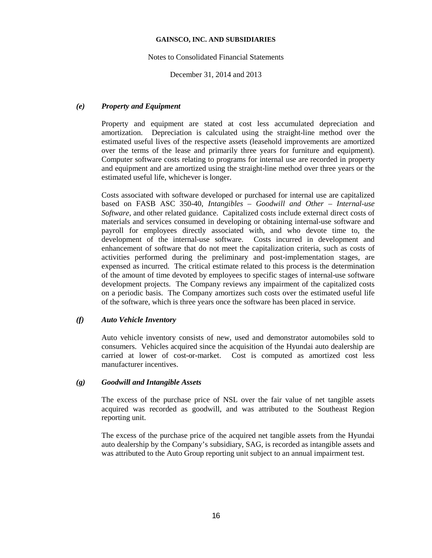## Notes to Consolidated Financial Statements

December 31, 2014 and 2013

## *(e) Property and Equipment*

Property and equipment are stated at cost less accumulated depreciation and amortization. Depreciation is calculated using the straight-line method over the estimated useful lives of the respective assets (leasehold improvements are amortized over the terms of the lease and primarily three years for furniture and equipment). Computer software costs relating to programs for internal use are recorded in property and equipment and are amortized using the straight-line method over three years or the estimated useful life, whichever is longer.

Costs associated with software developed or purchased for internal use are capitalized based on FASB ASC 350-40, *Intangibles – Goodwill and Other – Internal-use Software*, and other related guidance. Capitalized costs include external direct costs of materials and services consumed in developing or obtaining internal-use software and payroll for employees directly associated with, and who devote time to, the development of the internal-use software. Costs incurred in development and enhancement of software that do not meet the capitalization criteria, such as costs of activities performed during the preliminary and post-implementation stages, are expensed as incurred. The critical estimate related to this process is the determination of the amount of time devoted by employees to specific stages of internal-use software development projects. The Company reviews any impairment of the capitalized costs on a periodic basis. The Company amortizes such costs over the estimated useful life of the software, which is three years once the software has been placed in service.

## *(f) Auto Vehicle Inventory*

Auto vehicle inventory consists of new, used and demonstrator automobiles sold to consumers. Vehicles acquired since the acquisition of the Hyundai auto dealership are carried at lower of cost-or-market. Cost is computed as amortized cost less manufacturer incentives.

## *(g) Goodwill and Intangible Assets*

The excess of the purchase price of NSL over the fair value of net tangible assets acquired was recorded as goodwill, and was attributed to the Southeast Region reporting unit.

The excess of the purchase price of the acquired net tangible assets from the Hyundai auto dealership by the Company's subsidiary, SAG, is recorded as intangible assets and was attributed to the Auto Group reporting unit subject to an annual impairment test.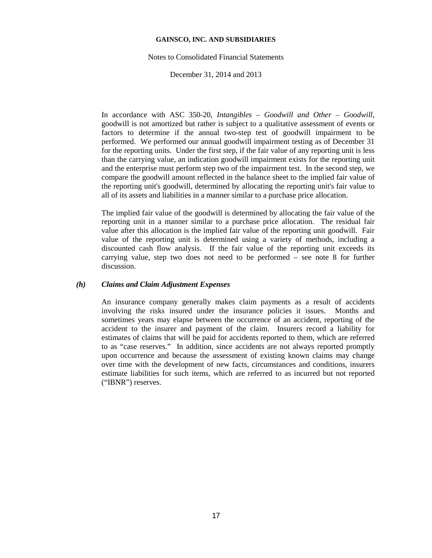### Notes to Consolidated Financial Statements

December 31, 2014 and 2013

In accordance with ASC 350-20, *Intangibles – Goodwill and Other – Goodwill*, goodwill is not amortized but rather is subject to a qualitative assessment of events or factors to determine if the annual two-step test of goodwill impairment to be performed. We performed our annual goodwill impairment testing as of December 31 for the reporting units. Under the first step, if the fair value of any reporting unit is less than the carrying value, an indication goodwill impairment exists for the reporting unit and the enterprise must perform step two of the impairment test. In the second step, we compare the goodwill amount reflected in the balance sheet to the implied fair value of the reporting unit's goodwill, determined by allocating the reporting unit's fair value to all of its assets and liabilities in a manner similar to a purchase price allocation.

The implied fair value of the goodwill is determined by allocating the fair value of the reporting unit in a manner similar to a purchase price allocation. The residual fair value after this allocation is the implied fair value of the reporting unit goodwill. Fair value of the reporting unit is determined using a variety of methods, including a discounted cash flow analysis. If the fair value of the reporting unit exceeds its carrying value, step two does not need to be performed – see note 8 for further discussion.

## *(h) Claims and Claim Adjustment Expenses*

An insurance company generally makes claim payments as a result of accidents involving the risks insured under the insurance policies it issues. Months and sometimes years may elapse between the occurrence of an accident, reporting of the accident to the insurer and payment of the claim. Insurers record a liability for estimates of claims that will be paid for accidents reported to them, which are referred to as "case reserves." In addition, since accidents are not always reported promptly upon occurrence and because the assessment of existing known claims may change over time with the development of new facts, circumstances and conditions, insurers estimate liabilities for such items, which are referred to as incurred but not reported ("IBNR") reserves.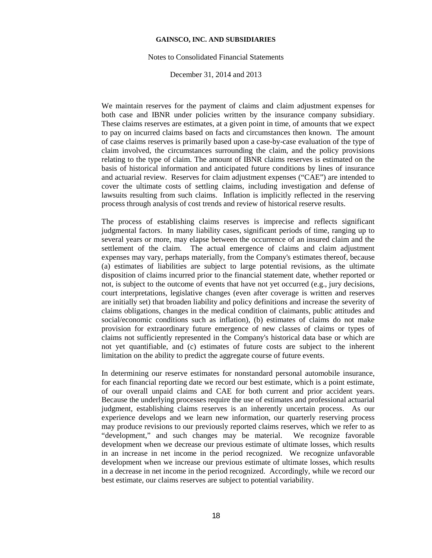#### Notes to Consolidated Financial Statements

December 31, 2014 and 2013

We maintain reserves for the payment of claims and claim adjustment expenses for both case and IBNR under policies written by the insurance company subsidiary. These claims reserves are estimates, at a given point in time, of amounts that we expect to pay on incurred claims based on facts and circumstances then known. The amount of case claims reserves is primarily based upon a case-by-case evaluation of the type of claim involved, the circumstances surrounding the claim, and the policy provisions relating to the type of claim. The amount of IBNR claims reserves is estimated on the basis of historical information and anticipated future conditions by lines of insurance and actuarial review. Reserves for claim adjustment expenses ("CAE") are intended to cover the ultimate costs of settling claims, including investigation and defense of lawsuits resulting from such claims. Inflation is implicitly reflected in the reserving process through analysis of cost trends and review of historical reserve results.

The process of establishing claims reserves is imprecise and reflects significant judgmental factors. In many liability cases, significant periods of time, ranging up to several years or more, may elapse between the occurrence of an insured claim and the settlement of the claim. The actual emergence of claims and claim adjustment expenses may vary, perhaps materially, from the Company's estimates thereof, because (a) estimates of liabilities are subject to large potential revisions, as the ultimate disposition of claims incurred prior to the financial statement date, whether reported or not, is subject to the outcome of events that have not yet occurred (e.g., jury decisions, court interpretations, legislative changes (even after coverage is written and reserves are initially set) that broaden liability and policy definitions and increase the severity of claims obligations, changes in the medical condition of claimants, public attitudes and social/economic conditions such as inflation), (b) estimates of claims do not make provision for extraordinary future emergence of new classes of claims or types of claims not sufficiently represented in the Company's historical data base or which are not yet quantifiable, and (c) estimates of future costs are subject to the inherent limitation on the ability to predict the aggregate course of future events.

In determining our reserve estimates for nonstandard personal automobile insurance, for each financial reporting date we record our best estimate, which is a point estimate, of our overall unpaid claims and CAE for both current and prior accident years. Because the underlying processes require the use of estimates and professional actuarial judgment, establishing claims reserves is an inherently uncertain process. As our experience develops and we learn new information, our quarterly reserving process may produce revisions to our previously reported claims reserves, which we refer to as "development," and such changes may be material. We recognize favorable development when we decrease our previous estimate of ultimate losses, which results in an increase in net income in the period recognized. We recognize unfavorable development when we increase our previous estimate of ultimate losses, which results in a decrease in net income in the period recognized. Accordingly, while we record our best estimate, our claims reserves are subject to potential variability.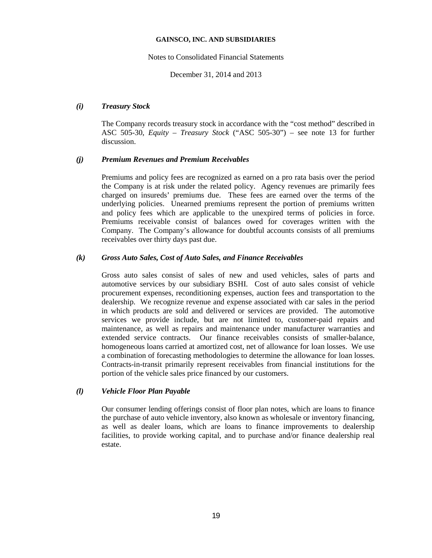### Notes to Consolidated Financial Statements

December 31, 2014 and 2013

## *(i) Treasury Stock*

The Company records treasury stock in accordance with the "cost method" described in ASC 505-30, *Equity – Treasury Stock* ("ASC 505-30") – see note 13 for further discussion.

## *(j) Premium Revenues and Premium Receivables*

Premiums and policy fees are recognized as earned on a pro rata basis over the period the Company is at risk under the related policy. Agency revenues are primarily fees charged on insureds' premiums due. These fees are earned over the terms of the underlying policies. Unearned premiums represent the portion of premiums written and policy fees which are applicable to the unexpired terms of policies in force. Premiums receivable consist of balances owed for coverages written with the Company. The Company's allowance for doubtful accounts consists of all premiums receivables over thirty days past due.

## *(k) Gross Auto Sales, Cost of Auto Sales, and Finance Receivables*

Gross auto sales consist of sales of new and used vehicles, sales of parts and automotive services by our subsidiary BSHI. Cost of auto sales consist of vehicle procurement expenses, reconditioning expenses, auction fees and transportation to the dealership. We recognize revenue and expense associated with car sales in the period in which products are sold and delivered or services are provided. The automotive services we provide include, but are not limited to, customer-paid repairs and maintenance, as well as repairs and maintenance under manufacturer warranties and extended service contracts. Our finance receivables consists of smaller-balance, homogeneous loans carried at amortized cost, net of allowance for loan losses. We use a combination of forecasting methodologies to determine the allowance for loan losses. Contracts-in-transit primarily represent receivables from financial institutions for the portion of the vehicle sales price financed by our customers.

## *(l) Vehicle Floor Plan Payable*

Our consumer lending offerings consist of floor plan notes, which are loans to finance the purchase of auto vehicle inventory, also known as wholesale or inventory financing, as well as dealer loans, which are loans to finance improvements to dealership facilities, to provide working capital, and to purchase and/or finance dealership real estate.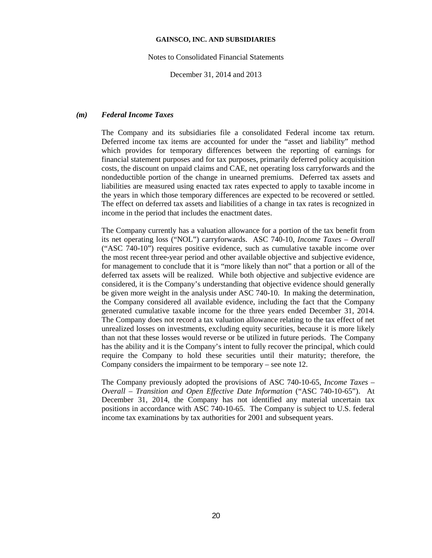Notes to Consolidated Financial Statements

December 31, 2014 and 2013

#### *(m) Federal Income Taxes*

The Company and its subsidiaries file a consolidated Federal income tax return. Deferred income tax items are accounted for under the "asset and liability" method which provides for temporary differences between the reporting of earnings for financial statement purposes and for tax purposes, primarily deferred policy acquisition costs, the discount on unpaid claims and CAE, net operating loss carryforwards and the nondeductible portion of the change in unearned premiums. Deferred tax assets and liabilities are measured using enacted tax rates expected to apply to taxable income in the years in which those temporary differences are expected to be recovered or settled. The effect on deferred tax assets and liabilities of a change in tax rates is recognized in income in the period that includes the enactment dates.

The Company currently has a valuation allowance for a portion of the tax benefit from its net operating loss ("NOL") carryforwards. ASC 740-10, *Income Taxes – Overall* ("ASC 740-10") requires positive evidence, such as cumulative taxable income over the most recent three-year period and other available objective and subjective evidence, for management to conclude that it is "more likely than not" that a portion or all of the deferred tax assets will be realized. While both objective and subjective evidence are considered, it is the Company's understanding that objective evidence should generally be given more weight in the analysis under ASC 740-10. In making the determination, the Company considered all available evidence, including the fact that the Company generated cumulative taxable income for the three years ended December 31, 2014. The Company does not record a tax valuation allowance relating to the tax effect of net unrealized losses on investments, excluding equity securities, because it is more likely than not that these losses would reverse or be utilized in future periods. The Company has the ability and it is the Company's intent to fully recover the principal, which could require the Company to hold these securities until their maturity; therefore, the Company considers the impairment to be temporary – see note 12.

The Company previously adopted the provisions of ASC 740-10-65, *Income Taxes – Overall – Transition and Open Effective Date Information* ("ASC 740-10-65"). At December 31, 2014, the Company has not identified any material uncertain tax positions in accordance with ASC 740-10-65. The Company is subject to U.S. federal income tax examinations by tax authorities for 2001 and subsequent years.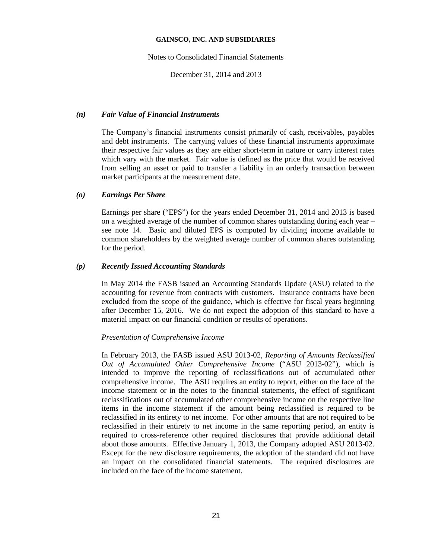Notes to Consolidated Financial Statements

December 31, 2014 and 2013

#### *(n) Fair Value of Financial Instruments*

The Company's financial instruments consist primarily of cash, receivables, payables and debt instruments. The carrying values of these financial instruments approximate their respective fair values as they are either short-term in nature or carry interest rates which vary with the market. Fair value is defined as the price that would be received from selling an asset or paid to transfer a liability in an orderly transaction between market participants at the measurement date.

#### *(o) Earnings Per Share*

Earnings per share ("EPS") for the years ended December 31, 2014 and 2013 is based on a weighted average of the number of common shares outstanding during each year – see note 14. Basic and diluted EPS is computed by dividing income available to common shareholders by the weighted average number of common shares outstanding for the period.

#### *(p) Recently Issued Accounting Standards*

In May 2014 the FASB issued an Accounting Standards Update (ASU) related to the accounting for revenue from contracts with customers. Insurance contracts have been excluded from the scope of the guidance, which is effective for fiscal years beginning after December 15, 2016. We do not expect the adoption of this standard to have a material impact on our financial condition or results of operations.

#### *Presentation of Comprehensive Income*

In February 2013, the FASB issued ASU 2013-02, *Reporting of Amounts Reclassified Out of Accumulated Other Comprehensive Income* ("ASU 2013-02"), which is intended to improve the reporting of reclassifications out of accumulated other comprehensive income. The ASU requires an entity to report, either on the face of the income statement or in the notes to the financial statements, the effect of significant reclassifications out of accumulated other comprehensive income on the respective line items in the income statement if the amount being reclassified is required to be reclassified in its entirety to net income. For other amounts that are not required to be reclassified in their entirety to net income in the same reporting period, an entity is required to cross-reference other required disclosures that provide additional detail about those amounts. Effective January 1, 2013, the Company adopted ASU 2013-02. Except for the new disclosure requirements, the adoption of the standard did not have an impact on the consolidated financial statements. The required disclosures are included on the face of the income statement.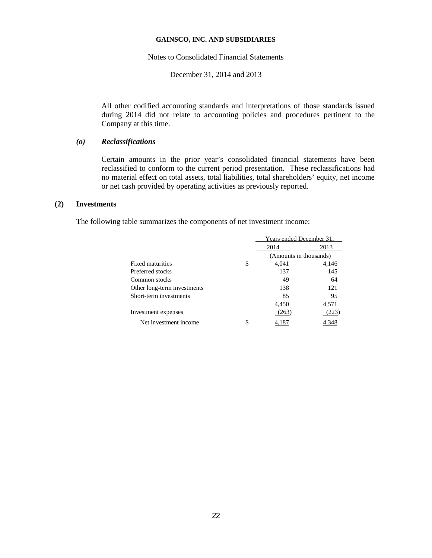Notes to Consolidated Financial Statements

December 31, 2014 and 2013

All other codified accounting standards and interpretations of those standards issued during 2014 did not relate to accounting policies and procedures pertinent to the Company at this time.

# *(o) Reclassifications*

Certain amounts in the prior year's consolidated financial statements have been reclassified to conform to the current period presentation. These reclassifications had no material effect on total assets, total liabilities, total shareholders' equity, net income or net cash provided by operating activities as previously reported.

## **(2) Investments**

The following table summarizes the components of net investment income:

|                             |   | Years ended December 31, |       |  |
|-----------------------------|---|--------------------------|-------|--|
|                             |   | 2014<br>2013             |       |  |
|                             |   | (Amounts in thousands)   |       |  |
| Fixed maturities            | S | 4.041                    | 4,146 |  |
| Preferred stocks            |   | 137                      | 145   |  |
| Common stocks               |   | 49                       | 64    |  |
| Other long-term investments |   | 138                      | 121   |  |
| Short-term investments      |   | 85                       | 95    |  |
|                             |   | 4,450                    | 4,571 |  |
| Investment expenses         |   | (263)                    | 223   |  |
| Net investment income       | S |                          |       |  |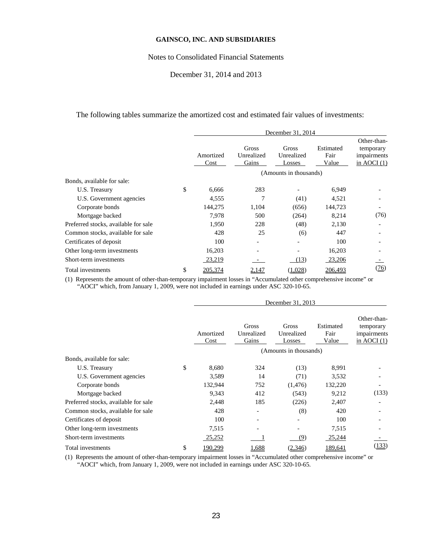#### Notes to Consolidated Financial Statements

## December 31, 2014 and 2013

The following tables summarize the amortized cost and estimated fair values of investments:

|                                      | December 31, 2014 |                              |                                      |                            |                                                          |
|--------------------------------------|-------------------|------------------------------|--------------------------------------|----------------------------|----------------------------------------------------------|
|                                      | Amortized<br>Cost | Gross<br>Unrealized<br>Gains | <b>Gross</b><br>Unrealized<br>Losses | Estimated<br>Fair<br>Value | Other-than-<br>temporary<br>impairments<br>in AOCI $(1)$ |
|                                      |                   |                              | (Amounts in thousands)               |                            |                                                          |
| Bonds, available for sale:           |                   |                              |                                      |                            |                                                          |
| \$<br>U.S. Treasury                  | 6,666             | 283                          |                                      | 6,949                      |                                                          |
| U.S. Government agencies             | 4,555             |                              | (41)                                 | 4,521                      |                                                          |
| Corporate bonds                      | 144,275           | 1,104                        | (656)                                | 144,723                    |                                                          |
| Mortgage backed                      | 7,978             | 500                          | (264)                                | 8,214                      | (76)                                                     |
| Preferred stocks, available for sale | 1,950             | 228                          | (48)                                 | 2,130                      |                                                          |
| Common stocks, available for sale    | 428               | 25                           | (6)                                  | 447                        |                                                          |
| Certificates of deposit              | 100               |                              |                                      | 100                        |                                                          |
| Other long-term investments          | 16,203            |                              |                                      | 16,203                     |                                                          |
| Short-term investments               | 23,219            |                              | (13)                                 | 23,206                     |                                                          |
| \$<br>Total investments              | 205,374           | 2,147                        | ,028                                 | 206,493                    | (26)                                                     |

(1) Represents the amount of other-than-temporary impairment losses in "Accumulated other comprehensive income" or "AOCI" which, from January 1, 2009, were not included in earnings under ASC 320-10-65.

|                                      | December 31, 2013 |                              |                               |                            |                                                                                       |  |  |
|--------------------------------------|-------------------|------------------------------|-------------------------------|----------------------------|---------------------------------------------------------------------------------------|--|--|
|                                      | Amortized<br>Cost | Gross<br>Unrealized<br>Gains | Gross<br>Unrealized<br>Losses | Estimated<br>Fair<br>Value | Other-than-<br>temporary<br>impairments<br>$\frac{\text{in AOCI}(1)}{\text{in AOCI}}$ |  |  |
|                                      |                   |                              | (Amounts in thousands)        |                            |                                                                                       |  |  |
| Bonds, available for sale:           |                   |                              |                               |                            |                                                                                       |  |  |
| U.S. Treasury                        | \$<br>8,680       | 324                          | (13)                          | 8,991                      |                                                                                       |  |  |
| U.S. Government agencies             | 3,589             | 14                           | (71)                          | 3,532                      |                                                                                       |  |  |
| Corporate bonds                      | 132,944           | 752                          | (1, 476)                      | 132,220                    |                                                                                       |  |  |
| Mortgage backed                      | 9,343             | 412                          | (543)                         | 9,212                      | (133)                                                                                 |  |  |
| Preferred stocks, available for sale | 2,448             | 185                          | (226)                         | 2,407                      |                                                                                       |  |  |
| Common stocks, available for sale    | 428               |                              | (8)                           | 420                        |                                                                                       |  |  |
| Certificates of deposit              | 100               |                              |                               | 100                        |                                                                                       |  |  |
| Other long-term investments          | 7,515             |                              |                               | 7,515                      |                                                                                       |  |  |
| Short-term investments               | 25,252            |                              | (9)                           | 25,244                     |                                                                                       |  |  |
| Total investments                    | \$<br>190,299     | 1,688                        | (2,346)                       | 189,641                    | (133)                                                                                 |  |  |

(1) Represents the amount of other-than-temporary impairment losses in "Accumulated other comprehensive income" or "AOCI" which, from January 1, 2009, were not included in earnings under ASC 320-10-65.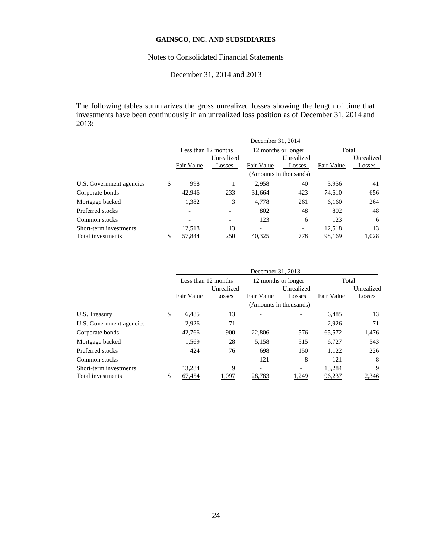## Notes to Consolidated Financial Statements

## December 31, 2014 and 2013

The following tables summarizes the gross unrealized losses showing the length of time that investments have been continuously in an unrealized loss position as of December 31, 2014 and 2013:

|                                             | December 31, 2014    |                      |            |                        |                  |                      |  |  |
|---------------------------------------------|----------------------|----------------------|------------|------------------------|------------------|----------------------|--|--|
|                                             | Less than 12 months  |                      |            | 12 months or longer    | Total            |                      |  |  |
|                                             | Fair Value           | Unrealized<br>Losses | Fair Value | Unrealized<br>Losses   | Fair Value       | Unrealized<br>Losses |  |  |
|                                             |                      |                      |            | (Amounts in thousands) |                  |                      |  |  |
| U.S. Government agencies                    | \$<br>998            |                      | 2.958      | 40                     | 3.956            | 41                   |  |  |
| Corporate bonds                             | 42,946               | 233                  | 31.664     | 423                    | 74.610           | 656                  |  |  |
| Mortgage backed                             | 1,382                | 3                    | 4.778      | 261                    | 6.160            | 264                  |  |  |
| Preferred stocks                            |                      |                      | 802        | 48                     | 802              | 48                   |  |  |
| Common stocks                               |                      |                      | 123        | 6                      | 123              | 6                    |  |  |
| Short-term investments<br>Total investments | \$<br>12,518<br>.844 | <u>13</u><br>250     |            | <u>778</u>             | 12,518<br>98,169 | 13<br>1,028          |  |  |

|                          | December 31, 2013   |            |            |                        |            |            |  |  |
|--------------------------|---------------------|------------|------------|------------------------|------------|------------|--|--|
|                          | Less than 12 months |            |            | 12 months or longer    | Total      |            |  |  |
|                          |                     | Unrealized | Unrealized |                        |            | Unrealized |  |  |
|                          | Fair Value          | Losses     | Fair Value | Losses                 | Fair Value | Losses     |  |  |
|                          |                     |            |            | (Amounts in thousands) |            |            |  |  |
| U.S. Treasury            | \$<br>6,485         | 13         |            |                        | 6,485      | 13         |  |  |
| U.S. Government agencies | 2,926               | 71         |            |                        | 2,926      | 71         |  |  |
| Corporate bonds          | 42,766              | 900        | 22,806     | 576                    | 65,572     | 1,476      |  |  |
| Mortgage backed          | 1,569               | 28         | 5,158      | 515                    | 6,727      | 543        |  |  |
| Preferred stocks         | 424                 | 76         | 698        | 150                    | 1.122      | 226        |  |  |
| Common stocks            |                     |            | 121        | 8                      | 121        | 8          |  |  |
| Short-term investments   | 13,284              | 9          |            |                        | 13,284     | 9          |  |  |
| Total investments        | \$<br>454.          | .097       | .783       | .249                   | 96,237     | 2,346      |  |  |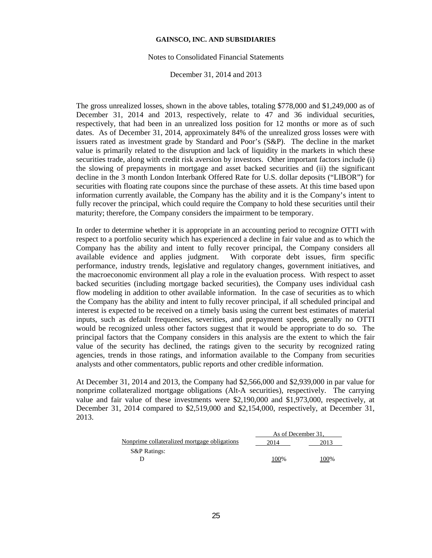#### Notes to Consolidated Financial Statements

#### December 31, 2014 and 2013

The gross unrealized losses, shown in the above tables, totaling \$778,000 and \$1,249,000 as of December 31, 2014 and 2013, respectively, relate to 47 and 36 individual securities, respectively, that had been in an unrealized loss position for 12 months or more as of such dates. As of December 31, 2014, approximately 84% of the unrealized gross losses were with issuers rated as investment grade by Standard and Poor's (S&P). The decline in the market value is primarily related to the disruption and lack of liquidity in the markets in which these securities trade, along with credit risk aversion by investors. Other important factors include (i) the slowing of prepayments in mortgage and asset backed securities and (ii) the significant decline in the 3 month London Interbank Offered Rate for U.S. dollar deposits ("LIBOR") for securities with floating rate coupons since the purchase of these assets. At this time based upon information currently available, the Company has the ability and it is the Company's intent to fully recover the principal, which could require the Company to hold these securities until their maturity; therefore, the Company considers the impairment to be temporary.

In order to determine whether it is appropriate in an accounting period to recognize OTTI with respect to a portfolio security which has experienced a decline in fair value and as to which the Company has the ability and intent to fully recover principal, the Company considers all available evidence and applies judgment. With corporate debt issues, firm specific performance, industry trends, legislative and regulatory changes, government initiatives, and the macroeconomic environment all play a role in the evaluation process. With respect to asset backed securities (including mortgage backed securities), the Company uses individual cash flow modeling in addition to other available information. In the case of securities as to which the Company has the ability and intent to fully recover principal, if all scheduled principal and interest is expected to be received on a timely basis using the current best estimates of material inputs, such as default frequencies, severities, and prepayment speeds, generally no OTTI would be recognized unless other factors suggest that it would be appropriate to do so. The principal factors that the Company considers in this analysis are the extent to which the fair value of the security has declined, the ratings given to the security by recognized rating agencies, trends in those ratings, and information available to the Company from securities analysts and other commentators, public reports and other credible information.

At December 31, 2014 and 2013, the Company had \$2,566,000 and \$2,939,000 in par value for nonprime collateralized mortgage obligations (Alt-A securities), respectively. The carrying value and fair value of these investments were \$2,190,000 and \$1,973,000, respectively, at December 31, 2014 compared to \$2,519,000 and \$2,154,000, respectively, at December 31, 2013.

|                                              | As of December 31. |      |
|----------------------------------------------|--------------------|------|
| Nonprime collateralized mortgage obligations | 2014               | 2013 |
| <b>S&amp;P</b> Ratings:                      |                    |      |
|                                              | $00\%$             | 100% |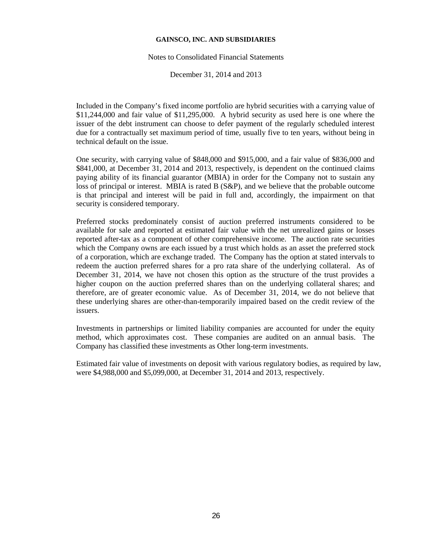#### Notes to Consolidated Financial Statements

December 31, 2014 and 2013

Included in the Company's fixed income portfolio are hybrid securities with a carrying value of \$11,244,000 and fair value of \$11,295,000. A hybrid security as used here is one where the issuer of the debt instrument can choose to defer payment of the regularly scheduled interest due for a contractually set maximum period of time, usually five to ten years, without being in technical default on the issue.

One security, with carrying value of \$848,000 and \$915,000, and a fair value of \$836,000 and \$841,000, at December 31, 2014 and 2013, respectively, is dependent on the continued claims paying ability of its financial guarantor (MBIA) in order for the Company not to sustain any loss of principal or interest. MBIA is rated B (S&P), and we believe that the probable outcome is that principal and interest will be paid in full and, accordingly, the impairment on that security is considered temporary.

Preferred stocks predominately consist of auction preferred instruments considered to be available for sale and reported at estimated fair value with the net unrealized gains or losses reported after-tax as a component of other comprehensive income. The auction rate securities which the Company owns are each issued by a trust which holds as an asset the preferred stock of a corporation, which are exchange traded. The Company has the option at stated intervals to redeem the auction preferred shares for a pro rata share of the underlying collateral. As of December 31, 2014, we have not chosen this option as the structure of the trust provides a higher coupon on the auction preferred shares than on the underlying collateral shares; and therefore, are of greater economic value. As of December 31, 2014, we do not believe that these underlying shares are other-than-temporarily impaired based on the credit review of the issuers.

Investments in partnerships or limited liability companies are accounted for under the equity method, which approximates cost. These companies are audited on an annual basis. The Company has classified these investments as Other long-term investments.

Estimated fair value of investments on deposit with various regulatory bodies, as required by law, were \$4,988,000 and \$5,099,000, at December 31, 2014 and 2013, respectively.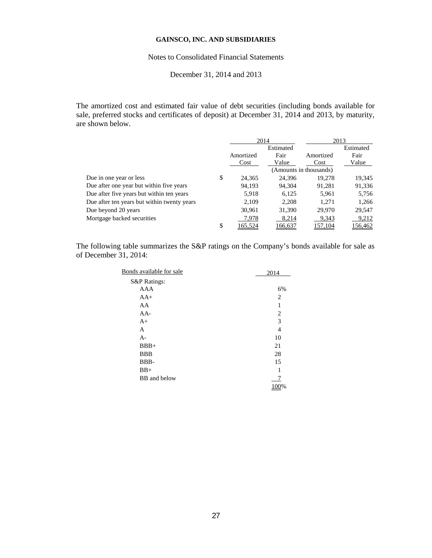## Notes to Consolidated Financial Statements

## December 31, 2014 and 2013

The amortized cost and estimated fair value of debt securities (including bonds available for sale, preferred stocks and certificates of deposit) at December 31, 2014 and 2013, by maturity, are shown below.

|                                             | 2014          |           |                        | 2013           |
|---------------------------------------------|---------------|-----------|------------------------|----------------|
|                                             |               | Estimated |                        | Estimated      |
|                                             | Amortized     | Fair      | Amortized              | Fair           |
|                                             | Cost          | Value     | Cost                   | Value          |
|                                             |               |           | (Amounts in thousands) |                |
| Due in one year or less                     | \$<br>24,365  | 24.396    | 19,278                 | 19,345         |
| Due after one year but within five years    | 94,193        | 94.304    | 91,281                 | 91,336         |
| Due after five years but within ten years   | 5,918         | 6,125     | 5,961                  | 5,756          |
| Due after ten years but within twenty years | 2.109         | 2.208     | 1.271                  | 1.266          |
| Due beyond 20 years                         | 30,961        | 31,390    | 29,970                 | 29,547         |
| Mortgage backed securities                  | 7,978         | 8,214     | 9,343                  | 9,212          |
|                                             | \$<br>165.524 | 166.637   | 57.104                 | <u>156,462</u> |

The following table summarizes the S&P ratings on the Company's bonds available for sale as of December 31, 2014:

| Bonds available for sale | 2014 |
|--------------------------|------|
| S&P Ratings:             |      |
| AAA                      | 6%   |
| $AA+$                    | 2    |
| AA                       | 1    |
| $AA-$                    | 2    |
| $A+$                     | 3    |
| A                        | 4    |
| $A -$                    | 10   |
| $BBB+$                   | 21   |
| <b>BBB</b>               | 28   |
| BBB-                     | 15   |
| $BB+$                    | 1    |
| BB and below             |      |
|                          | 100% |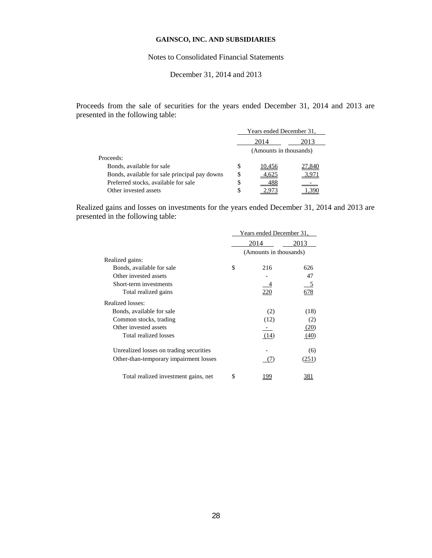## Notes to Consolidated Financial Statements

## December 31, 2014 and 2013

Proceeds from the sale of securities for the years ended December 31, 2014 and 2013 are presented in the following table:

|                                               |    | Years ended December 31, |       |  |  |
|-----------------------------------------------|----|--------------------------|-------|--|--|
|                                               |    | 2014<br>2013             |       |  |  |
|                                               |    | (Amounts in thousands)   |       |  |  |
| Proceeds:                                     |    |                          |       |  |  |
| Bonds, available for sale                     | S  | 10.456                   | 7,840 |  |  |
| Bonds, available for sale principal pay downs | S  |                          | 3,971 |  |  |
| Preferred stocks, available for sale          | \$ |                          |       |  |  |
| Other invested assets                         | S  |                          |       |  |  |

Realized gains and losses on investments for the years ended December 31, 2014 and 2013 are presented in the following table:

|                                         | Years ended December 31, |                        |       |  |
|-----------------------------------------|--------------------------|------------------------|-------|--|
|                                         |                          | 2014                   | 2013  |  |
|                                         |                          | (Amounts in thousands) |       |  |
| Realized gains:                         |                          |                        |       |  |
| Bonds, available for sale               | \$                       | 216                    | 626   |  |
| Other invested assets                   |                          |                        | 47    |  |
| Short-term investments                  |                          |                        |       |  |
| Total realized gains                    |                          | 220                    | 678   |  |
| Realized losses:                        |                          |                        |       |  |
| Bonds, available for sale               |                          | (2)                    | (18)  |  |
| Common stocks, trading                  |                          | (12)                   | (2)   |  |
| Other invested assets                   |                          |                        | (20)  |  |
| Total realized losses                   |                          | (14)                   | (40)  |  |
| Unrealized losses on trading securities |                          |                        | (6)   |  |
| Other-than-temporary impairment losses  |                          | ' / I                  | (251) |  |
| Total realized investment gains, net    | S                        | 199                    |       |  |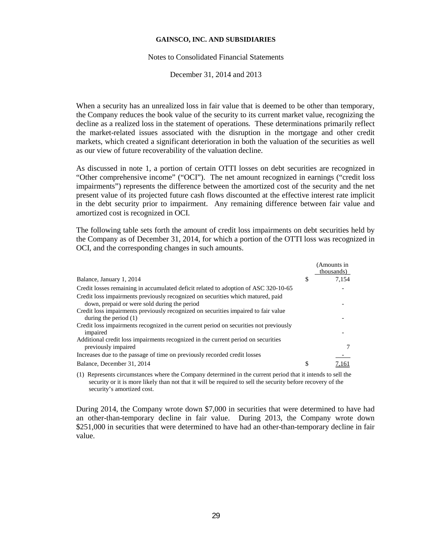#### Notes to Consolidated Financial Statements

December 31, 2014 and 2013

When a security has an unrealized loss in fair value that is deemed to be other than temporary, the Company reduces the book value of the security to its current market value, recognizing the decline as a realized loss in the statement of operations. These determinations primarily reflect the market-related issues associated with the disruption in the mortgage and other credit markets, which created a significant deterioration in both the valuation of the securities as well as our view of future recoverability of the valuation decline.

As discussed in note 1, a portion of certain OTTI losses on debt securities are recognized in "Other comprehensive income" ("OCI"). The net amount recognized in earnings ("credit loss impairments") represents the difference between the amortized cost of the security and the net present value of its projected future cash flows discounted at the effective interest rate implicit in the debt security prior to impairment. Any remaining difference between fair value and amortized cost is recognized in OCI.

The following table sets forth the amount of credit loss impairments on debt securities held by the Company as of December 31, 2014, for which a portion of the OTTI loss was recognized in OCI, and the corresponding changes in such amounts.

|                                                                                                               |    | (Amounts in<br>thousands) |
|---------------------------------------------------------------------------------------------------------------|----|---------------------------|
| Balance, January 1, 2014                                                                                      | \$ | 7.154                     |
| Credit losses remaining in accumulated deficit related to adoption of ASC 320-10-65                           |    |                           |
| Credit loss impairments previously recognized on securities which matured, paid                               |    |                           |
| down, prepaid or were sold during the period                                                                  |    |                           |
| Credit loss impairments previously recognized on securities impaired to fair value<br>during the period $(1)$ |    |                           |
| Credit loss impairments recognized in the current period on securities not previously<br>impaired             |    |                           |
| Additional credit loss impairments recognized in the current period on securities<br>previously impaired      |    |                           |
| Increases due to the passage of time on previously recorded credit losses                                     |    |                           |
| Balance, December 31, 2014                                                                                    | S  |                           |

(1) Represents circumstances where the Company determined in the current period that it intends to sell the security or it is more likely than not that it will be required to sell the security before recovery of the security's amortized cost.

During 2014, the Company wrote down \$7,000 in securities that were determined to have had an other-than-temporary decline in fair value. During 2013, the Company wrote down \$251,000 in securities that were determined to have had an other-than-temporary decline in fair value.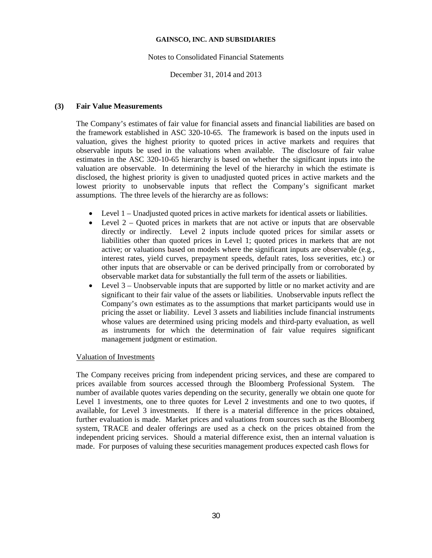## Notes to Consolidated Financial Statements

## December 31, 2014 and 2013

## **(3) Fair Value Measurements**

The Company's estimates of fair value for financial assets and financial liabilities are based on the framework established in ASC 320-10-65. The framework is based on the inputs used in valuation, gives the highest priority to quoted prices in active markets and requires that observable inputs be used in the valuations when available. The disclosure of fair value estimates in the ASC 320-10-65 hierarchy is based on whether the significant inputs into the valuation are observable. In determining the level of the hierarchy in which the estimate is disclosed, the highest priority is given to unadjusted quoted prices in active markets and the lowest priority to unobservable inputs that reflect the Company's significant market assumptions. The three levels of the hierarchy are as follows:

- Level 1 Unadjusted quoted prices in active markets for identical assets or liabilities.
- Level  $2 -$  Quoted prices in markets that are not active or inputs that are observable directly or indirectly. Level 2 inputs include quoted prices for similar assets or liabilities other than quoted prices in Level 1; quoted prices in markets that are not active; or valuations based on models where the significant inputs are observable (e.g., interest rates, yield curves, prepayment speeds, default rates, loss severities, etc.) or other inputs that are observable or can be derived principally from or corroborated by observable market data for substantially the full term of the assets or liabilities.
- Level 3 Unobservable inputs that are supported by little or no market activity and are significant to their fair value of the assets or liabilities. Unobservable inputs reflect the Company's own estimates as to the assumptions that market participants would use in pricing the asset or liability. Level 3 assets and liabilities include financial instruments whose values are determined using pricing models and third-party evaluation, as well as instruments for which the determination of fair value requires significant management judgment or estimation.

## Valuation of Investments

The Company receives pricing from independent pricing services, and these are compared to prices available from sources accessed through the Bloomberg Professional System. The number of available quotes varies depending on the security, generally we obtain one quote for Level 1 investments, one to three quotes for Level 2 investments and one to two quotes, if available, for Level 3 investments. If there is a material difference in the prices obtained, further evaluation is made. Market prices and valuations from sources such as the Bloomberg system, TRACE and dealer offerings are used as a check on the prices obtained from the independent pricing services. Should a material difference exist, then an internal valuation is made. For purposes of valuing these securities management produces expected cash flows for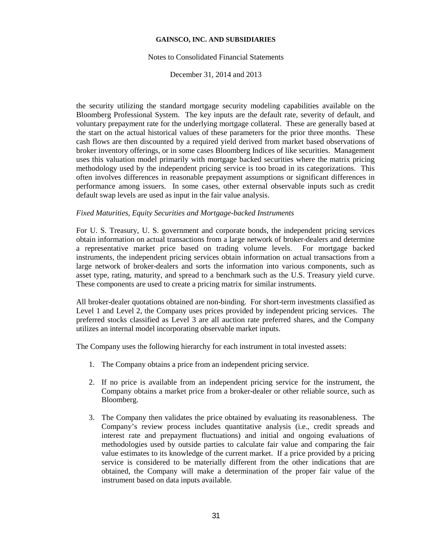#### Notes to Consolidated Financial Statements

December 31, 2014 and 2013

the security utilizing the standard mortgage security modeling capabilities available on the Bloomberg Professional System. The key inputs are the default rate, severity of default, and voluntary prepayment rate for the underlying mortgage collateral. These are generally based at the start on the actual historical values of these parameters for the prior three months. These cash flows are then discounted by a required yield derived from market based observations of broker inventory offerings, or in some cases Bloomberg Indices of like securities. Management uses this valuation model primarily with mortgage backed securities where the matrix pricing methodology used by the independent pricing service is too broad in its categorizations. This often involves differences in reasonable prepayment assumptions or significant differences in performance among issuers. In some cases, other external observable inputs such as credit default swap levels are used as input in the fair value analysis.

## *Fixed Maturities, Equity Securities and Mortgage-backed Instruments*

For U. S. Treasury, U. S. government and corporate bonds, the independent pricing services obtain information on actual transactions from a large network of broker-dealers and determine a representative market price based on trading volume levels. For mortgage backed instruments, the independent pricing services obtain information on actual transactions from a large network of broker-dealers and sorts the information into various components, such as asset type, rating, maturity, and spread to a benchmark such as the U.S. Treasury yield curve. These components are used to create a pricing matrix for similar instruments.

All broker-dealer quotations obtained are non-binding. For short-term investments classified as Level 1 and Level 2, the Company uses prices provided by independent pricing services. The preferred stocks classified as Level 3 are all auction rate preferred shares, and the Company utilizes an internal model incorporating observable market inputs.

The Company uses the following hierarchy for each instrument in total invested assets:

- 1. The Company obtains a price from an independent pricing service.
- 2. If no price is available from an independent pricing service for the instrument, the Company obtains a market price from a broker-dealer or other reliable source, such as Bloomberg.
- 3. The Company then validates the price obtained by evaluating its reasonableness. The Company's review process includes quantitative analysis (i.e., credit spreads and interest rate and prepayment fluctuations) and initial and ongoing evaluations of methodologies used by outside parties to calculate fair value and comparing the fair value estimates to its knowledge of the current market. If a price provided by a pricing service is considered to be materially different from the other indications that are obtained, the Company will make a determination of the proper fair value of the instrument based on data inputs available.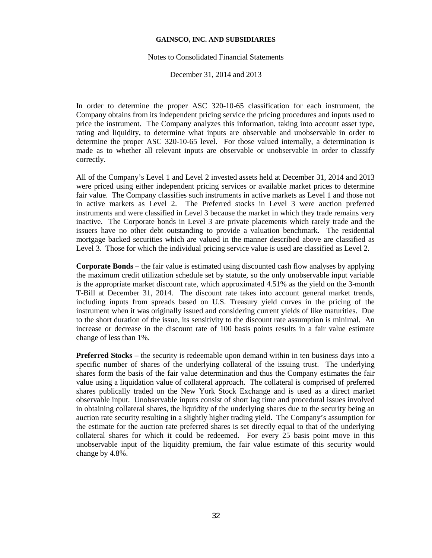#### Notes to Consolidated Financial Statements

December 31, 2014 and 2013

In order to determine the proper ASC 320-10-65 classification for each instrument, the Company obtains from its independent pricing service the pricing procedures and inputs used to price the instrument. The Company analyzes this information, taking into account asset type, rating and liquidity, to determine what inputs are observable and unobservable in order to determine the proper ASC 320-10-65 level. For those valued internally, a determination is made as to whether all relevant inputs are observable or unobservable in order to classify correctly.

All of the Company's Level 1 and Level 2 invested assets held at December 31, 2014 and 2013 were priced using either independent pricing services or available market prices to determine fair value. The Company classifies such instruments in active markets as Level 1 and those not in active markets as Level 2. The Preferred stocks in Level 3 were auction preferred instruments and were classified in Level 3 because the market in which they trade remains very inactive. The Corporate bonds in Level 3 are private placements which rarely trade and the issuers have no other debt outstanding to provide a valuation benchmark. The residential mortgage backed securities which are valued in the manner described above are classified as Level 3. Those for which the individual pricing service value is used are classified as Level 2.

**Corporate Bonds** – the fair value is estimated using discounted cash flow analyses by applying the maximum credit utilization schedule set by statute, so the only unobservable input variable is the appropriate market discount rate, which approximated 4.51% as the yield on the 3-month T-Bill at December 31, 2014. The discount rate takes into account general market trends, including inputs from spreads based on U.S. Treasury yield curves in the pricing of the instrument when it was originally issued and considering current yields of like maturities. Due to the short duration of the issue, its sensitivity to the discount rate assumption is minimal. An increase or decrease in the discount rate of 100 basis points results in a fair value estimate change of less than 1%.

**Preferred Stocks** – the security is redeemable upon demand within in ten business days into a specific number of shares of the underlying collateral of the issuing trust. The underlying shares form the basis of the fair value determination and thus the Company estimates the fair value using a liquidation value of collateral approach. The collateral is comprised of preferred shares publically traded on the New York Stock Exchange and is used as a direct market observable input. Unobservable inputs consist of short lag time and procedural issues involved in obtaining collateral shares, the liquidity of the underlying shares due to the security being an auction rate security resulting in a slightly higher trading yield. The Company's assumption for the estimate for the auction rate preferred shares is set directly equal to that of the underlying collateral shares for which it could be redeemed. For every 25 basis point move in this unobservable input of the liquidity premium, the fair value estimate of this security would change by 4.8%.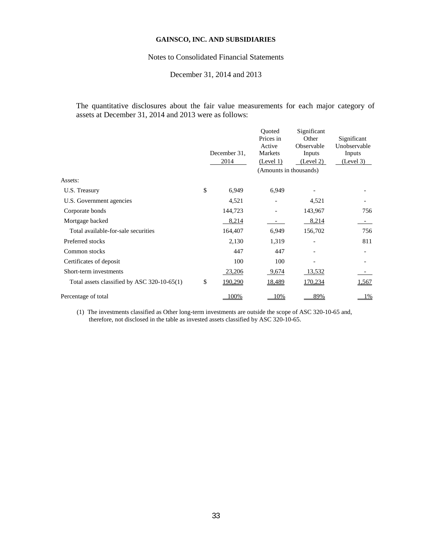## Notes to Consolidated Financial Statements

## December 31, 2014 and 2013

The quantitative disclosures about the fair value measurements for each major category of assets at December 31, 2014 and 2013 were as follows:

|                                             | December 31.<br>2014 | Ouoted<br>Prices in<br>Active<br>Markets<br>(Level 1)<br>(Amounts in thousands) | Significant<br>Other<br>Observable<br>Inputs<br>(Level 2) | Significant<br>Unobservable<br>Inputs<br>(Level 3) |
|---------------------------------------------|----------------------|---------------------------------------------------------------------------------|-----------------------------------------------------------|----------------------------------------------------|
| Assets:                                     |                      |                                                                                 |                                                           |                                                    |
| U.S. Treasury                               | \$<br>6,949          | 6,949                                                                           |                                                           |                                                    |
| U.S. Government agencies                    | 4,521                |                                                                                 | 4,521                                                     |                                                    |
| Corporate bonds                             | 144,723              |                                                                                 | 143,967                                                   | 756                                                |
| Mortgage backed                             | 8,214                |                                                                                 | 8,214                                                     |                                                    |
| Total available-for-sale securities         | 164,407              | 6,949                                                                           | 156,702                                                   | 756                                                |
| Preferred stocks                            | 2,130                | 1,319                                                                           |                                                           | 811                                                |
| Common stocks                               | 447                  | 447                                                                             |                                                           |                                                    |
| Certificates of deposit                     | 100                  | 100                                                                             |                                                           |                                                    |
| Short-term investments                      | 23,206               | 9,674                                                                           | 13,532                                                    |                                                    |
| Total assets classified by ASC 320-10-65(1) | \$<br><u>190,290</u> | <u>18,489</u>                                                                   | 170,234                                                   | 1,567                                              |
| Percentage of total                         | 100%                 | 10%                                                                             | 89%                                                       | $1\%$                                              |
|                                             |                      |                                                                                 |                                                           |                                                    |

(1) The investments classified as Other long-term investments are outside the scope of ASC 320-10-65 and, therefore, not disclosed in the table as invested assets classified by ASC 320-10-65.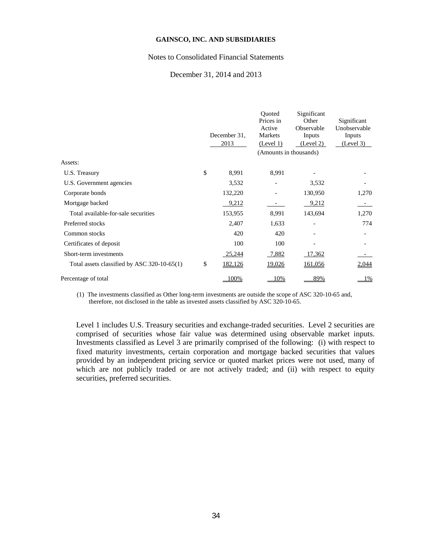### Notes to Consolidated Financial Statements

## December 31, 2014 and 2013

|                                             | December 31.<br>2013 | Ouoted<br>Prices in<br>Active<br>Markets<br>(Level 1) | Significant<br>Other<br>Observable<br>Inputs<br>(Level 2) | Significant<br>Unobservable<br>Inputs<br>(Level 3) |
|---------------------------------------------|----------------------|-------------------------------------------------------|-----------------------------------------------------------|----------------------------------------------------|
|                                             |                      | (Amounts in thousands)                                |                                                           |                                                    |
| Assets:                                     |                      |                                                       |                                                           |                                                    |
| U.S. Treasury                               | \$<br>8,991          | 8,991                                                 |                                                           |                                                    |
| U.S. Government agencies                    | 3,532                |                                                       | 3,532                                                     |                                                    |
| Corporate bonds                             | 132,220              |                                                       | 130,950                                                   | 1,270                                              |
| Mortgage backed                             | 9,212                |                                                       | 9,212                                                     | $\sim$                                             |
| Total available-for-sale securities         | 153,955              | 8,991                                                 | 143,694                                                   | 1,270                                              |
| Preferred stocks                            | 2,407                | 1,633                                                 |                                                           | 774                                                |
| Common stocks                               | 420                  | 420                                                   |                                                           |                                                    |
| Certificates of deposit                     | 100                  | 100                                                   |                                                           |                                                    |
| Short-term investments                      | 25,244               | 7,882                                                 | 17,362                                                    |                                                    |
| Total assets classified by ASC 320-10-65(1) | \$<br>182,126        | <u>19,026</u>                                         | 161,056                                                   | <u>2,044</u>                                       |
| Percentage of total                         | 00%                  | 10%                                                   | 89%                                                       | $1\%$                                              |

(1) The investments classified as Other long-term investments are outside the scope of ASC 320-10-65 and, therefore, not disclosed in the table as invested assets classified by ASC 320-10-65.

Level 1 includes U.S. Treasury securities and exchange-traded securities. Level 2 securities are comprised of securities whose fair value was determined using observable market inputs. Investments classified as Level 3 are primarily comprised of the following: (i) with respect to fixed maturity investments, certain corporation and mortgage backed securities that values provided by an independent pricing service or quoted market prices were not used, many of which are not publicly traded or are not actively traded; and (ii) with respect to equity securities, preferred securities.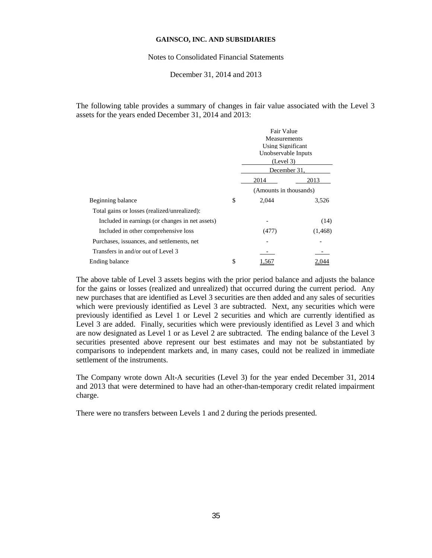Notes to Consolidated Financial Statements

December 31, 2014 and 2013

The following table provides a summary of changes in fair value associated with the Level 3 assets for the years ended December 31, 2014 and 2013:

|                                                 | Fair Value<br><b>Measurements</b><br>Using Significant<br>Unobservable Inputs<br>(Level 3)<br>December 31, |          |
|-------------------------------------------------|------------------------------------------------------------------------------------------------------------|----------|
|                                                 | 2014                                                                                                       | 2013     |
|                                                 | (Amounts in thousands)                                                                                     |          |
| Beginning balance                               | \$<br>2,044                                                                                                | 3,526    |
| Total gains or losses (realized/unrealized):    |                                                                                                            |          |
| Included in earnings (or changes in net assets) |                                                                                                            | (14)     |
| Included in other comprehensive loss            | (477)                                                                                                      | (1, 468) |
| Purchases, issuances, and settlements, net      |                                                                                                            |          |
| Transfers in and/or out of Level 3              |                                                                                                            |          |
| Ending balance                                  | \$<br>1,567                                                                                                | 2.044    |

The above table of Level 3 assets begins with the prior period balance and adjusts the balance for the gains or losses (realized and unrealized) that occurred during the current period. Any new purchases that are identified as Level 3 securities are then added and any sales of securities which were previously identified as Level 3 are subtracted. Next, any securities which were previously identified as Level 1 or Level 2 securities and which are currently identified as Level 3 are added. Finally, securities which were previously identified as Level 3 and which are now designated as Level 1 or as Level 2 are subtracted. The ending balance of the Level 3 securities presented above represent our best estimates and may not be substantiated by comparisons to independent markets and, in many cases, could not be realized in immediate settlement of the instruments.

The Company wrote down Alt-A securities (Level 3) for the year ended December 31, 2014 and 2013 that were determined to have had an other-than-temporary credit related impairment charge.

There were no transfers between Levels 1 and 2 during the periods presented.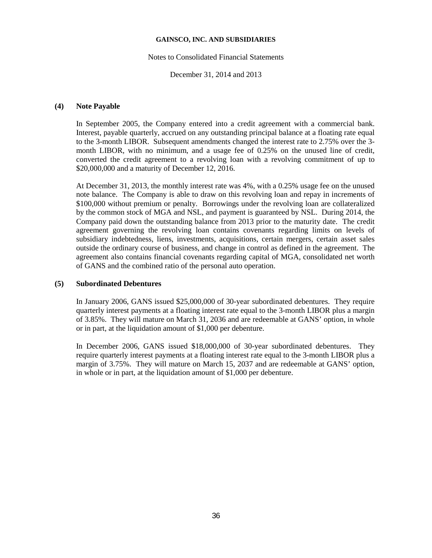### Notes to Consolidated Financial Statements

December 31, 2014 and 2013

## **(4) Note Payable**

In September 2005, the Company entered into a credit agreement with a commercial bank. Interest, payable quarterly, accrued on any outstanding principal balance at a floating rate equal to the 3-month LIBOR. Subsequent amendments changed the interest rate to 2.75% over the 3 month LIBOR, with no minimum, and a usage fee of 0.25% on the unused line of credit, converted the credit agreement to a revolving loan with a revolving commitment of up to \$20,000,000 and a maturity of December 12, 2016.

At December 31, 2013, the monthly interest rate was 4%, with a 0.25% usage fee on the unused note balance. The Company is able to draw on this revolving loan and repay in increments of \$100,000 without premium or penalty. Borrowings under the revolving loan are collateralized by the common stock of MGA and NSL, and payment is guaranteed by NSL. During 2014, the Company paid down the outstanding balance from 2013 prior to the maturity date. The credit agreement governing the revolving loan contains covenants regarding limits on levels of subsidiary indebtedness, liens, investments, acquisitions, certain mergers, certain asset sales outside the ordinary course of business, and change in control as defined in the agreement. The agreement also contains financial covenants regarding capital of MGA, consolidated net worth of GANS and the combined ratio of the personal auto operation.

## **(5) Subordinated Debentures**

In January 2006, GANS issued \$25,000,000 of 30-year subordinated debentures. They require quarterly interest payments at a floating interest rate equal to the 3-month LIBOR plus a margin of 3.85%. They will mature on March 31, 2036 and are redeemable at GANS' option, in whole or in part, at the liquidation amount of \$1,000 per debenture.

In December 2006, GANS issued \$18,000,000 of 30-year subordinated debentures. They require quarterly interest payments at a floating interest rate equal to the 3-month LIBOR plus a margin of 3.75%. They will mature on March 15, 2037 and are redeemable at GANS' option, in whole or in part, at the liquidation amount of \$1,000 per debenture.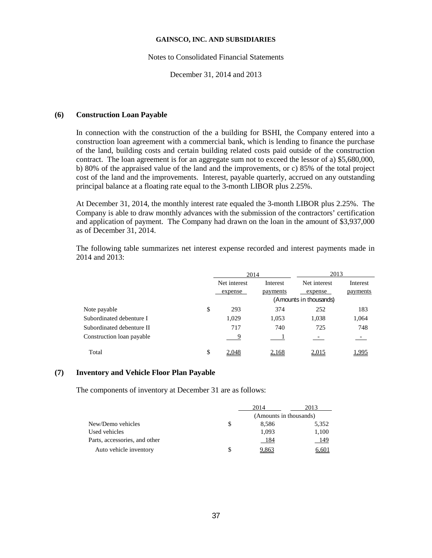#### Notes to Consolidated Financial Statements

December 31, 2014 and 2013

#### **(6) Construction Loan Payable**

In connection with the construction of the a building for BSHI, the Company entered into a construction loan agreement with a commercial bank, which is lending to finance the purchase of the land, building costs and certain building related costs paid outside of the construction contract. The loan agreement is for an aggregate sum not to exceed the lessor of a) \$5,680,000, b) 80% of the appraised value of the land and the improvements, or c) 85% of the total project cost of the land and the improvements. Interest, payable quarterly, accrued on any outstanding principal balance at a floating rate equal to the 3-month LIBOR plus 2.25%.

At December 31, 2014, the monthly interest rate equaled the 3-month LIBOR plus 2.25%. The Company is able to draw monthly advances with the submission of the contractors' certification and application of payment. The Company had drawn on the loan in the amount of \$3,937,000 as of December 31, 2014.

The following table summarizes net interest expense recorded and interest payments made in 2014 and 2013:

|                           |    | 2014         |          |                        |          | 2013 |  |
|---------------------------|----|--------------|----------|------------------------|----------|------|--|
|                           |    | Net interest | Interest | Net interest           | Interest |      |  |
|                           |    | expense      | payments | expense                | payments |      |  |
|                           |    |              |          | (Amounts in thousands) |          |      |  |
| Note payable              | \$ | 293          | 374      | 252                    | 183      |      |  |
| Subordinated debenture I  |    | 1,029        | 1,053    | 1,038                  | 1,064    |      |  |
| Subordinated debenture II |    | 717          | 740      | 725                    | 748      |      |  |
| Construction loan payable |    | 9            |          |                        | $\sim$   |      |  |
| Total                     | \$ | 2.048        | 2,168    | 2,015                  | .995     |      |  |

## **(7) Inventory and Vehicle Floor Plan Payable**

The components of inventory at December 31 are as follows:

|                               |   | 2014                   | 2013  |  |
|-------------------------------|---|------------------------|-------|--|
|                               |   | (Amounts in thousands) |       |  |
| New/Demo vehicles             | S | 8.586                  | 5,352 |  |
| Used vehicles                 |   | 1,093                  | 1,100 |  |
| Parts, accessories, and other |   | 184                    | 149   |  |
| Auto vehicle inventory        |   | 9,863                  | 6,601 |  |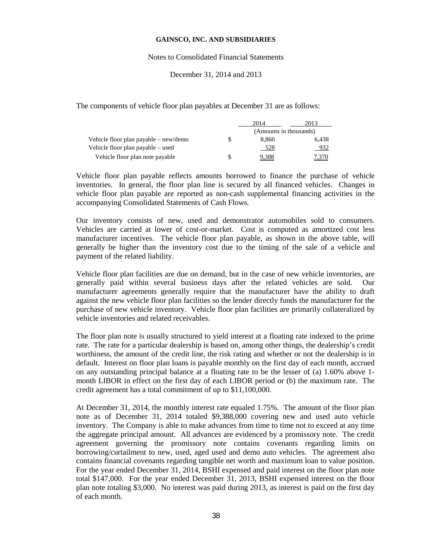#### Notes to Consolidated Financial Statements

## December 31, 2014 and 2013

The components of vehicle floor plan payables at December 31 are as follows:

|                                       | 2014                   | 2013. |
|---------------------------------------|------------------------|-------|
|                                       | (Amounts in thousands) |       |
| Vehicle floor plan payable – new/demo | 8.860                  | 6.438 |
| Vehicle floor plan payable – used     | 528                    | 932   |
| Vehicle floor plan note payable       |                        |       |

Vehicle floor plan payable reflects amounts borrowed to finance the purchase of vehicle inventories. In general, the floor plan line is secured by all financed vehicles. Changes in vehicle floor plan payable are reported as non-cash supplemental financing activities in the accompanying Consolidated Statements of Cash Flows.

Our inventory consists of new, used and demonstrator automobiles sold to consumers. Vehicles are carried at lower of cost-or-market. Cost is computed as amortized cost less manufacturer incentives. The vehicle floor plan payable, as shown in the above table, will generally be higher than the inventory cost due to the timing of the sale of a vehicle and payment of the related liability.

Vehicle floor plan facilities are due on demand, but in the case of new vehicle inventories, are generally paid within several business days after the related vehicles are sold. Our manufacturer agreements generally require that the manufacturer have the ability to draft against the new vehicle floor plan facilities so the lender directly funds the manufacturer for the purchase of new vehicle inventory. Vehicle floor plan facilities are primarily collateralized by vehicle inventories and related receivables.

The floor plan note is usually structured to yield interest at a floating rate indexed to the prime rate. The rate for a particular dealership is based on, among other things, the dealership's credit worthiness, the amount of the credit line, the risk rating and whether or not the dealership is in default. Interest on floor plan loans is payable monthly on the first day of each month, accrued on any outstanding principal balance at a floating rate to be the lesser of (a) 1.60% above 1 month LIBOR in effect on the first day of each LIBOR period or (b) the maximum rate. The credit agreement has a total commitment of up to \$11,100,000.

At December 31, 2014, the monthly interest rate equaled 1.75%. The amount of the floor plan note as of December 31, 2014 totaled \$9,388,000 covering new and used auto vehicle inventory. The Company is able to make advances from time to time not to exceed at any time the aggregate principal amount. All advances are evidenced by a promissory note. The credit agreement governing the promissory note contains covenants regarding limits on borrowing/curtailment to new, used, aged used and demo auto vehicles. The agreement also contains financial covenants regarding tangible net worth and maximum loan to value position. For the year ended December 31, 2014, BSHI expensed and paid interest on the floor plan note total \$147,000. For the year ended December 31, 2013, BSHI expensed interest on the floor plan note totaling \$3,000. No interest was paid during 2013, as interest is paid on the first day of each month.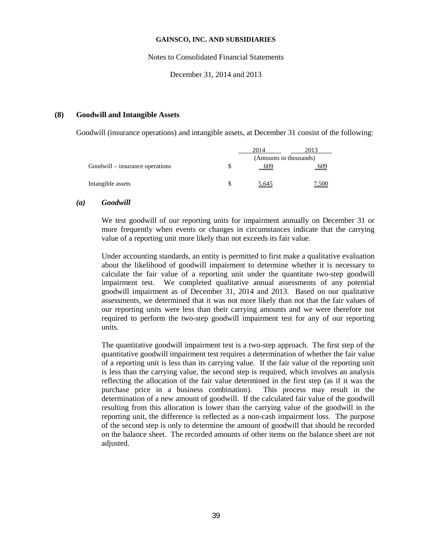Notes to Consolidated Financial Statements

December 31, 2014 and 2013

#### **(8) Goodwill and Intangible Assets**

Goodwill (insurance operations) and intangible assets, at December 31 consist of the following:

|                                 |   | 2014  | 2013                   |  |  |
|---------------------------------|---|-------|------------------------|--|--|
|                                 |   |       | (Amounts in thousands) |  |  |
| Goodwill – insurance operations | S | 609   | 609                    |  |  |
|                                 |   |       |                        |  |  |
| Intangible assets               |   | 5,645 | 7,500                  |  |  |
|                                 |   |       |                        |  |  |

#### *(a) Goodwill*

We test goodwill of our reporting units for impairment annually on December 31 or more frequently when events or changes in circumstances indicate that the carrying value of a reporting unit more likely than not exceeds its fair value.

Under accounting standards, an entity is permitted to first make a qualitative evaluation about the likelihood of goodwill impairment to determine whether it is necessary to calculate the fair value of a reporting unit under the quantitate two-step goodwill impairment test. We completed qualitative annual assessments of any potential goodwill impairment as of December 31, 2014 and 2013. Based on our qualitative assessments, we determined that it was not more likely than not that the fair values of our reporting units were less than their carrying amounts and we were therefore not required to perform the two-step goodwill impairment test for any of our reporting units.

The quantitative goodwill impairment test is a two-step approach. The first step of the quantitative goodwill impairment test requires a determination of whether the fair value of a reporting unit is less than its carrying value. If the fair value of the reporting unit is less than the carrying value, the second step is required, which involves an analysis reflecting the allocation of the fair value determined in the first step (as if it was the purchase price in a business combination). This process may result in the determination of a new amount of goodwill. If the calculated fair value of the goodwill resulting from this allocation is lower than the carrying value of the goodwill in the reporting unit, the difference is reflected as a non-cash impairment loss. The purpose of the second step is only to determine the amount of goodwill that should be recorded on the balance sheet. The recorded amounts of other items on the balance sheet are not adjusted.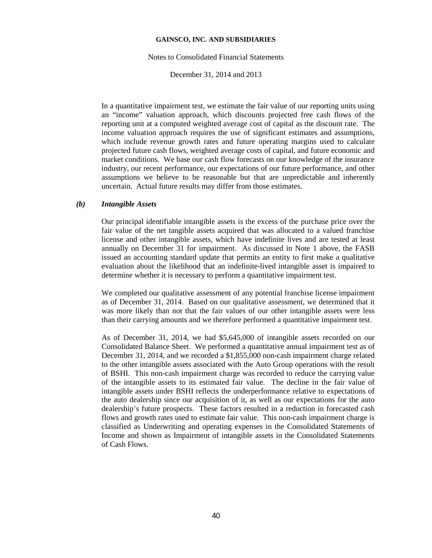#### Notes to Consolidated Financial Statements

December 31, 2014 and 2013

In a quantitative impairment test, we estimate the fair value of our reporting units using an "income" valuation approach, which discounts projected free cash flows of the reporting unit at a computed weighted average cost of capital as the discount rate. The income valuation approach requires the use of significant estimates and assumptions, which include revenue growth rates and future operating margins used to calculate projected future cash flows, weighted average costs of capital, and future economic and market conditions. We base our cash flow forecasts on our knowledge of the insurance industry, our recent performance, our expectations of our future performance, and other assumptions we believe to be reasonable but that are unpredictable and inherently uncertain. Actual future results may differ from those estimates.

## *(b) Intangible Assets*

Our principal identifiable intangible assets is the excess of the purchase price over the fair value of the net tangible assets acquired that was allocated to a valued franchise license and other intangible assets, which have indefinite lives and are tested at least annually on December 31 for impairment. As discussed in Note 1 above, the FASB issued an accounting standard update that permits an entity to first make a qualitative evaluation about the likelihood that an indefinite-lived intangible asset is impaired to determine whether it is necessary to perform a quantitative impairment test.

We completed our qualitative assessment of any potential franchise license impairment as of December 31, 2014. Based on our qualitative assessment, we determined that it was more likely than not that the fair values of our other intangible assets were less than their carrying amounts and we therefore performed a quantitative impairment test.

As of December 31, 2014, we had \$5,645,000 of intangible assets recorded on our Consolidated Balance Sheet. We performed a quantitative annual impairment test as of December 31, 2014, and we recorded a \$1,855,000 non-cash impairment charge related to the other intangible assets associated with the Auto Group operations with the result of BSHI. This non-cash impairment charge was recorded to reduce the carrying value of the intangible assets to its estimated fair value. The decline in the fair value of intangible assets under BSHI reflects the underperformance relative to expectations of the auto dealership since our acquisition of it, as well as our expectations for the auto dealership's future prospects. These factors resulted in a reduction in forecasted cash flows and growth rates used to estimate fair value. This non-cash impairment charge is classified as Underwriting and operating expenses in the Consolidated Statements of Income and shown as Impairment of intangible assets in the Consolidated Statements of Cash Flows.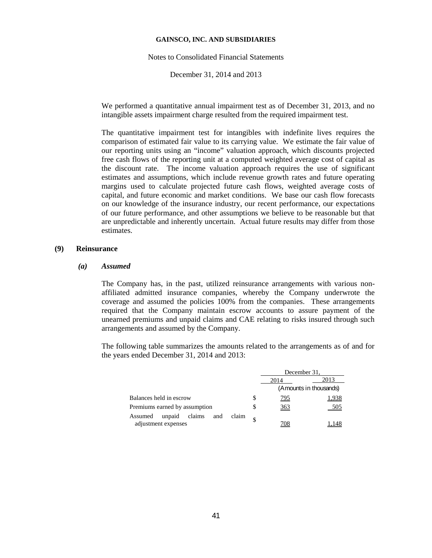Notes to Consolidated Financial Statements

December 31, 2014 and 2013

We performed a quantitative annual impairment test as of December 31, 2013, and no intangible assets impairment charge resulted from the required impairment test.

The quantitative impairment test for intangibles with indefinite lives requires the comparison of estimated fair value to its carrying value. We estimate the fair value of our reporting units using an "income" valuation approach, which discounts projected free cash flows of the reporting unit at a computed weighted average cost of capital as the discount rate. The income valuation approach requires the use of significant estimates and assumptions, which include revenue growth rates and future operating margins used to calculate projected future cash flows, weighted average costs of capital, and future economic and market conditions. We base our cash flow forecasts on our knowledge of the insurance industry, our recent performance, our expectations of our future performance, and other assumptions we believe to be reasonable but that are unpredictable and inherently uncertain. Actual future results may differ from those estimates.

## **(9) Reinsurance**

#### *(a) Assumed*

The Company has, in the past, utilized reinsurance arrangements with various nonaffiliated admitted insurance companies, whereby the Company underwrote the coverage and assumed the policies 100% from the companies. These arrangements required that the Company maintain escrow accounts to assure payment of the unearned premiums and unpaid claims and CAE relating to risks insured through such arrangements and assumed by the Company.

The following table summarizes the amounts related to the arrangements as of and for the years ended December 31, 2014 and 2013:

|                                                                    | December 31.    |                        |  |
|--------------------------------------------------------------------|-----------------|------------------------|--|
|                                                                    | 2014            | 2013                   |  |
|                                                                    |                 | (Amounts in thousands) |  |
| Balances held in escrow                                            | <u>795</u>      | <u>1,938</u>           |  |
| Premiums earned by assumption                                      | $\frac{363}{2}$ | 505                    |  |
| claim<br>claims<br>unpaid<br>Assumed<br>and<br>adjustment expenses | 708             |                        |  |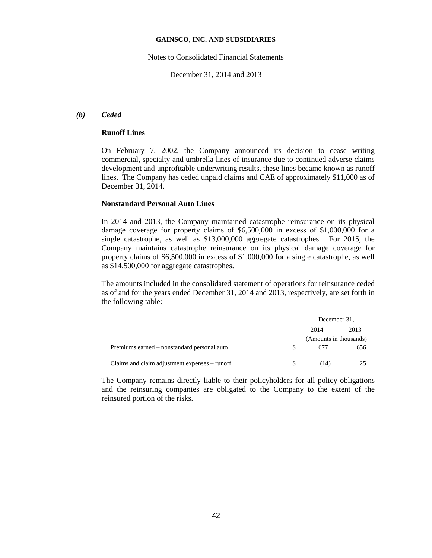Notes to Consolidated Financial Statements

December 31, 2014 and 2013

### *(b) Ceded*

## **Runoff Lines**

On February 7, 2002, the Company announced its decision to cease writing commercial, specialty and umbrella lines of insurance due to continued adverse claims development and unprofitable underwriting results, these lines became known as runoff lines. The Company has ceded unpaid claims and CAE of approximately \$11,000 as of December 31, 2014.

### **Nonstandard Personal Auto Lines**

In 2014 and 2013, the Company maintained catastrophe reinsurance on its physical damage coverage for property claims of \$6,500,000 in excess of \$1,000,000 for a single catastrophe, as well as \$13,000,000 aggregate catastrophes. For 2015, the Company maintains catastrophe reinsurance on its physical damage coverage for property claims of \$6,500,000 in excess of \$1,000,000 for a single catastrophe, as well as \$14,500,000 for aggregate catastrophes.

The amounts included in the consolidated statement of operations for reinsurance ceded as of and for the years ended December 31, 2014 and 2013, respectively, are set forth in the following table:

|                                               |   | December 31,           |            |
|-----------------------------------------------|---|------------------------|------------|
|                                               |   | 2014                   | 2013       |
|                                               |   | (Amounts in thousands) |            |
| Premiums earned – nonstandard personal auto   | S |                        | <u>656</u> |
|                                               |   |                        |            |
| Claims and claim adjustment expenses – runoff |   | $\overline{14}$        |            |

The Company remains directly liable to their policyholders for all policy obligations and the reinsuring companies are obligated to the Company to the extent of the reinsured portion of the risks.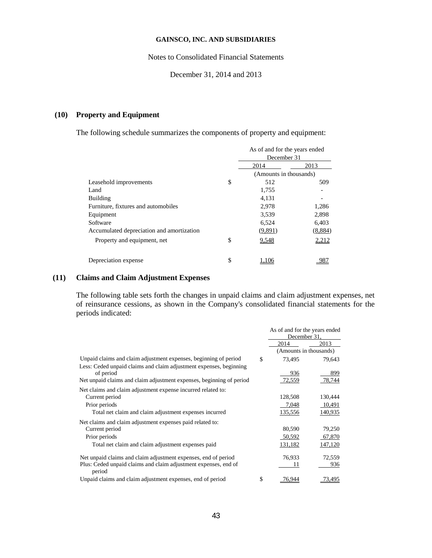Notes to Consolidated Financial Statements

December 31, 2014 and 2013

# **(10) Property and Equipment**

The following schedule summarizes the components of property and equipment:

|                                           |    | As of and for the years ended<br>December 31 |              |  |
|-------------------------------------------|----|----------------------------------------------|--------------|--|
|                                           |    | 2014                                         | 2013         |  |
|                                           |    | (Amounts in thousands)                       |              |  |
| Leasehold improvements                    | S  | 512                                          | 509          |  |
| Land                                      |    | 1,755                                        |              |  |
| Building                                  |    | 4,131                                        |              |  |
| Furniture, fixtures and automobiles       |    | 2,978                                        | 1,286        |  |
| Equipment                                 |    | 3,539                                        | 2,898        |  |
| Software                                  |    | 6,524                                        | 6,403        |  |
| Accumulated depreciation and amortization |    | (9,891)                                      | (8,884)      |  |
| Property and equipment, net               | S  | 9,548                                        | <u>2.212</u> |  |
| Depreciation expense                      | \$ |                                              |              |  |

## **(11) Claims and Claim Adjustment Expenses**

The following table sets forth the changes in unpaid claims and claim adjustment expenses, net of reinsurance cessions, as shown in the Company's consolidated financial statements for the periods indicated:

|                                                                                 | As of and for the years ended<br>December 31. |                        |  |
|---------------------------------------------------------------------------------|-----------------------------------------------|------------------------|--|
|                                                                                 | 2014                                          | 2013                   |  |
|                                                                                 |                                               | (Amounts in thousands) |  |
| Unpaid claims and claim adjustment expenses, beginning of period                | \$<br>73,495                                  | 79,643                 |  |
| Less: Ceded unpaid claims and claim adjustment expenses, beginning<br>of period | 936                                           | 899                    |  |
| Net unpaid claims and claim adjustment expenses, beginning of period            | 72,559                                        | 78,744                 |  |
| Net claims and claim adjustment expense incurred related to:                    |                                               |                        |  |
| Current period                                                                  | 128,508                                       | 130,444                |  |
| Prior periods                                                                   | 7,048                                         | 10,491                 |  |
| Total net claim and claim adjustment expenses incurred                          | 135,556                                       | 140,935                |  |
| Net claims and claim adjustment expenses paid related to:                       |                                               |                        |  |
| Current period                                                                  | 80,590                                        | 79,250                 |  |
| Prior periods                                                                   | 50,592                                        | 67,870                 |  |
| Total net claim and claim adjustment expenses paid                              | 131,182                                       | 147,120                |  |
| Net unpaid claims and claim adjustment expenses, end of period                  | 76,933                                        | 72,559                 |  |
| Plus: Ceded unpaid claims and claim adjustment expenses, end of<br>period       | 11                                            | 936                    |  |
| Unpaid claims and claim adjustment expenses, end of period                      | \$<br>76.944                                  | 73,495                 |  |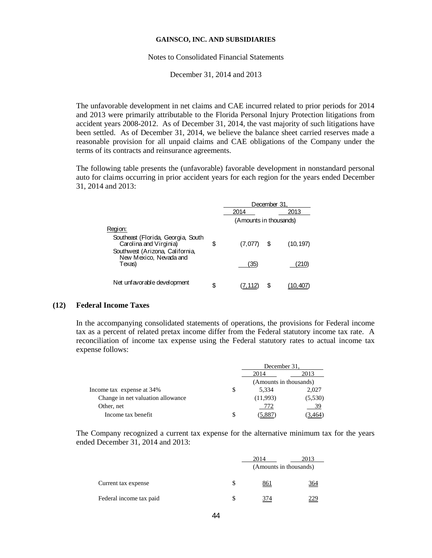#### Notes to Consolidated Financial Statements

December 31, 2014 and 2013

The unfavorable development in net claims and CAE incurred related to prior periods for 2014 and 2013 were primarily attributable to the Florida Personal Injury Protection litigations from accident years 2008-2012. As of December 31, 2014, the vast majority of such litigations have been settled. As of December 31, 2014, we believe the balance sheet carried reserves made a reasonable provision for all unpaid claims and CAE obligations of the Company under the terms of its contracts and reinsurance agreements.

The following table presents the (unfavorable) favorable development in nonstandard personal auto for claims occurring in prior accident years for each region for the years ended December 31, 2014 and 2013:

|                                                                                                 |    | December 31            |   |           |
|-------------------------------------------------------------------------------------------------|----|------------------------|---|-----------|
|                                                                                                 |    | 2014                   |   | 2013      |
|                                                                                                 |    | (Amounts in thousands) |   |           |
| Region:                                                                                         |    |                        |   |           |
| Southeast (Florida, Georgia, South<br>Carolina and Virginia)<br>Southwest (Arizona, California, | \$ | (7,077)                | S | (10, 197) |
| New Mexico, Nevada and<br>Texas)                                                                |    | '35'                   |   | 210:      |
| Net unfavorable development                                                                     | S  |                        | S |           |

### **(12) Federal Income Taxes**

In the accompanying consolidated statements of operations, the provisions for Federal income tax as a percent of related pretax income differ from the Federal statutory income tax rate. A reconciliation of income tax expense using the Federal statutory rates to actual income tax expense follows:

|                                   |   | December 31.           |         |  |
|-----------------------------------|---|------------------------|---------|--|
|                                   |   | 2013<br>2014           |         |  |
|                                   |   | (Amounts in thousands) |         |  |
| Income tax expense at 34%         | S | 5.334                  | 2.027   |  |
| Change in net valuation allowance |   | (11,993)               | (5,530) |  |
| Other, net                        |   | 772                    | 39      |  |
| Income tax benefit                | S |                        |         |  |

The Company recognized a current tax expense for the alternative minimum tax for the years ended December 31, 2014 and 2013:

|                         | 2014                   | 2013       |
|-------------------------|------------------------|------------|
|                         | (Amounts in thousands) |            |
| Current tax expense     | <u>861</u>             | <u>364</u> |
| Federal income tax paid | 374                    |            |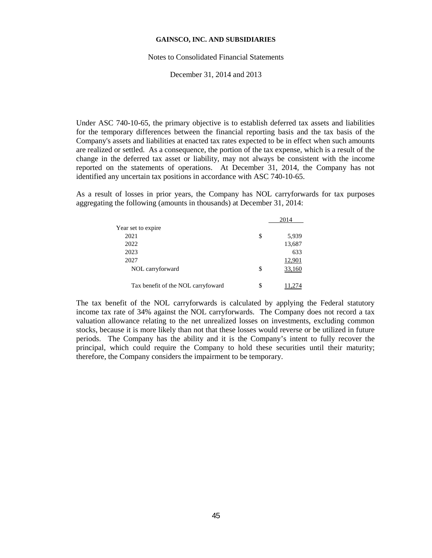#### Notes to Consolidated Financial Statements

December 31, 2014 and 2013

Under ASC 740-10-65, the primary objective is to establish deferred tax assets and liabilities for the temporary differences between the financial reporting basis and the tax basis of the Company's assets and liabilities at enacted tax rates expected to be in effect when such amounts are realized or settled. As a consequence, the portion of the tax expense, which is a result of the change in the deferred tax asset or liability, may not always be consistent with the income reported on the statements of operations. At December 31, 2014, the Company has not identified any uncertain tax positions in accordance with ASC 740-10-65.

As a result of losses in prior years, the Company has NOL carryforwards for tax purposes aggregating the following (amounts in thousands) at December 31, 2014:

|                                    | 2014        |
|------------------------------------|-------------|
| Year set to expire                 |             |
| 2021                               | \$<br>5,939 |
| 2022                               | 13,687      |
| 2023                               | 633         |
| 2027                               | 12,901      |
| NOL carryforward                   | \$          |
| Tax benefit of the NOL carryfoward | \$          |

The tax benefit of the NOL carryforwards is calculated by applying the Federal statutory income tax rate of 34% against the NOL carryforwards. The Company does not record a tax valuation allowance relating to the net unrealized losses on investments, excluding common stocks, because it is more likely than not that these losses would reverse or be utilized in future periods. The Company has the ability and it is the Company's intent to fully recover the principal, which could require the Company to hold these securities until their maturity; therefore, the Company considers the impairment to be temporary.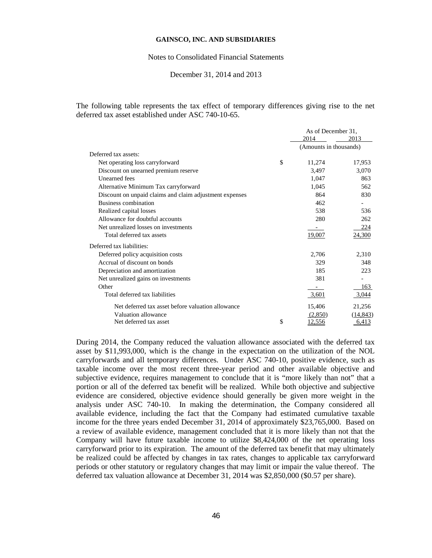#### Notes to Consolidated Financial Statements

#### December 31, 2014 and 2013

The following table represents the tax effect of temporary differences giving rise to the net deferred tax asset established under ASC 740-10-65.

|                                                         | As of December 31,     |              |
|---------------------------------------------------------|------------------------|--------------|
|                                                         | 2014                   | 2013         |
|                                                         | (Amounts in thousands) |              |
| Deferred tax assets:                                    |                        |              |
| Net operating loss carryforward                         | \$<br>11,274           | 17,953       |
| Discount on unearned premium reserve                    | 3,497                  | 3,070        |
| <b>Unearned</b> fees                                    | 1,047                  | 863          |
| Alternative Minimum Tax carryforward                    | 1,045                  | 562          |
| Discount on unpaid claims and claim adjustment expenses | 864                    | 830          |
| Business combination                                    | 462                    |              |
| Realized capital losses                                 | 538                    | 536          |
| Allowance for doubtful accounts                         | 280                    | 262          |
| Net unrealized losses on investments                    |                        | 224          |
| Total deferred tax assets                               | 19,007                 | 24,300       |
| Deferred tax liabilities:                               |                        |              |
| Deferred policy acquisition costs                       | 2,706                  | 2,310        |
| Accrual of discount on bonds                            | 329                    | 348          |
| Depreciation and amortization                           | 185                    | 223          |
| Net unrealized gains on investments                     | 381                    |              |
| Other                                                   | -                      | 163          |
| Total deferred tax liabilities                          | 3,601                  | 3,044        |
| Net deferred tax asset before valuation allowance       | 15,406                 | 21,256       |
| Valuation allowance                                     | (2,850)                | (14, 843)    |
| Net deferred tax asset                                  | \$<br><u>12,556</u>    | <u>6,413</u> |

During 2014, the Company reduced the valuation allowance associated with the deferred tax asset by \$11,993,000, which is the change in the expectation on the utilization of the NOL carryforwards and all temporary differences. Under ASC 740-10, positive evidence, such as taxable income over the most recent three-year period and other available objective and subjective evidence, requires management to conclude that it is "more likely than not" that a portion or all of the deferred tax benefit will be realized. While both objective and subjective evidence are considered, objective evidence should generally be given more weight in the analysis under ASC 740-10. In making the determination, the Company considered all available evidence, including the fact that the Company had estimated cumulative taxable income for the three years ended December 31, 2014 of approximately \$23,765,000. Based on a review of available evidence, management concluded that it is more likely than not that the Company will have future taxable income to utilize \$8,424,000 of the net operating loss carryforward prior to its expiration. The amount of the deferred tax benefit that may ultimately be realized could be affected by changes in tax rates, changes to applicable tax carryforward periods or other statutory or regulatory changes that may limit or impair the value thereof. The deferred tax valuation allowance at December 31, 2014 was \$2,850,000 (\$0.57 per share).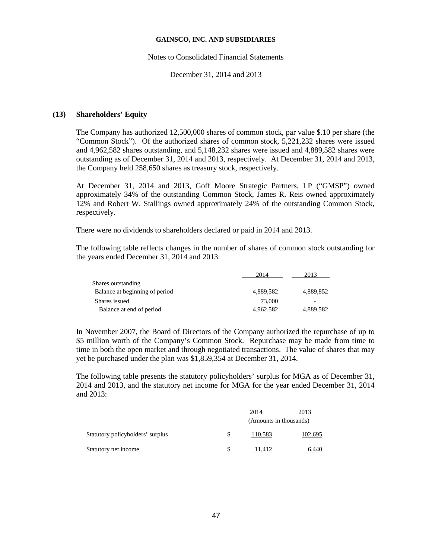#### Notes to Consolidated Financial Statements

December 31, 2014 and 2013

## **(13) Shareholders' Equity**

The Company has authorized 12,500,000 shares of common stock, par value \$.10 per share (the "Common Stock"). Of the authorized shares of common stock, 5,221,232 shares were issued and 4,962,582 shares outstanding, and 5,148,232 shares were issued and 4,889,582 shares were outstanding as of December 31, 2014 and 2013, respectively. At December 31, 2014 and 2013, the Company held 258,650 shares as treasury stock, respectively.

At December 31, 2014 and 2013, Goff Moore Strategic Partners, LP ("GMSP") owned approximately 34% of the outstanding Common Stock, James R. Reis owned approximately 12% and Robert W. Stallings owned approximately 24% of the outstanding Common Stock, respectively.

There were no dividends to shareholders declared or paid in 2014 and 2013.

The following table reflects changes in the number of shares of common stock outstanding for the years ended December 31, 2014 and 2013:

|                                | 2014      | 2013      |
|--------------------------------|-----------|-----------|
| Shares outstanding             |           |           |
| Balance at beginning of period | 4.889.582 | 4.889.852 |
| Shares issued                  | 73,000    |           |
| Balance at end of period       | 962,582   | 4.889.582 |

In November 2007, the Board of Directors of the Company authorized the repurchase of up to \$5 million worth of the Company's Common Stock. Repurchase may be made from time to time in both the open market and through negotiated transactions. The value of shares that may yet be purchased under the plan was \$1,859,354 at December 31, 2014.

The following table presents the statutory policyholders' surplus for MGA as of December 31, 2014 and 2013, and the statutory net income for MGA for the year ended December 31, 2014 and 2013:

|                                  | 2014                   | 2013    |  |
|----------------------------------|------------------------|---------|--|
|                                  | (Amounts in thousands) |         |  |
| Statutory policyholders' surplus | 110,583                | 102,695 |  |
| Statutory net income             | $+1.412-$              | 5.440   |  |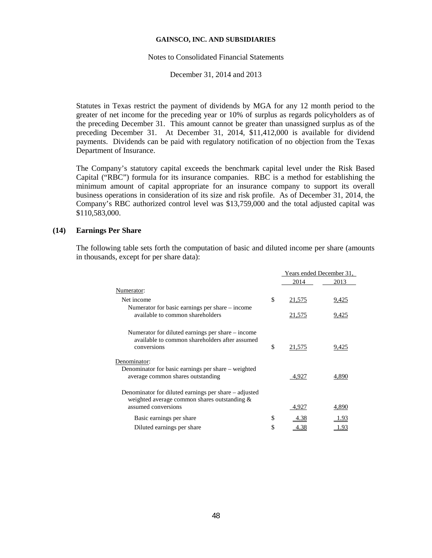#### Notes to Consolidated Financial Statements

December 31, 2014 and 2013

Statutes in Texas restrict the payment of dividends by MGA for any 12 month period to the greater of net income for the preceding year or 10% of surplus as regards policyholders as of the preceding December 31. This amount cannot be greater than unassigned surplus as of the preceding December 31. At December 31, 2014, \$11,412,000 is available for dividend payments. Dividends can be paid with regulatory notification of no objection from the Texas Department of Insurance.

The Company's statutory capital exceeds the benchmark capital level under the Risk Based Capital ("RBC") formula for its insurance companies. RBC is a method for establishing the minimum amount of capital appropriate for an insurance company to support its overall business operations in consideration of its size and risk profile. As of December 31, 2014, the Company's RBC authorized control level was \$13,759,000 and the total adjusted capital was \$110,583,000.

### **(14) Earnings Per Share**

The following table sets forth the computation of basic and diluted income per share (amounts in thousands, except for per share data):

|                                                                                                                              | Years ended December 31, |       |
|------------------------------------------------------------------------------------------------------------------------------|--------------------------|-------|
|                                                                                                                              | 2014                     | 2013  |
| Numerator:                                                                                                                   |                          |       |
| Net income                                                                                                                   | \$<br>21,575             | 9,425 |
| Numerator for basic earnings per share – income<br>available to common shareholders                                          | 21,575                   | 9,425 |
| Numerator for diluted earnings per share – income<br>available to common shareholders after assumed<br>conversions           | \$<br>21,575             | 9,425 |
| Denominator:<br>Denominator for basic earnings per share - weighted<br>average common shares outstanding                     | 4,927                    | 4,890 |
| Denominator for diluted earnings per share – adjusted<br>weighted average common shares outstanding &<br>assumed conversions | 4,927                    | 4,890 |
| Basic earnings per share                                                                                                     | \$<br><u>4.38</u>        | 1.93  |
| Diluted earnings per share                                                                                                   | \$<br>4.38               | 1.93  |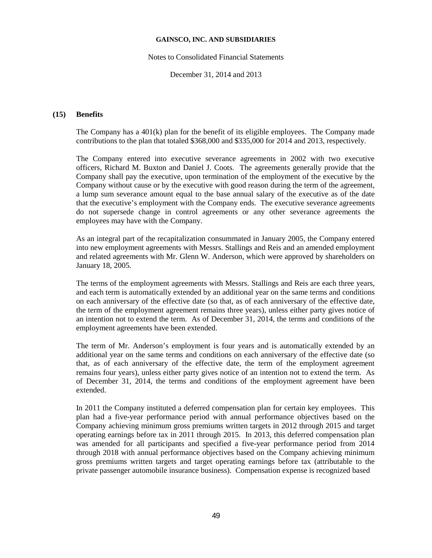Notes to Consolidated Financial Statements

December 31, 2014 and 2013

## **(15) Benefits**

The Company has a 401(k) plan for the benefit of its eligible employees. The Company made contributions to the plan that totaled \$368,000 and \$335,000 for 2014 and 2013, respectively.

The Company entered into executive severance agreements in 2002 with two executive officers, Richard M. Buxton and Daniel J. Coots. The agreements generally provide that the Company shall pay the executive, upon termination of the employment of the executive by the Company without cause or by the executive with good reason during the term of the agreement, a lump sum severance amount equal to the base annual salary of the executive as of the date that the executive's employment with the Company ends. The executive severance agreements do not supersede change in control agreements or any other severance agreements the employees may have with the Company.

As an integral part of the recapitalization consummated in January 2005, the Company entered into new employment agreements with Messrs. Stallings and Reis and an amended employment and related agreements with Mr. Glenn W. Anderson, which were approved by shareholders on January 18, 2005.

The terms of the employment agreements with Messrs. Stallings and Reis are each three years, and each term is automatically extended by an additional year on the same terms and conditions on each anniversary of the effective date (so that, as of each anniversary of the effective date, the term of the employment agreement remains three years), unless either party gives notice of an intention not to extend the term. As of December 31, 2014, the terms and conditions of the employment agreements have been extended.

The term of Mr. Anderson's employment is four years and is automatically extended by an additional year on the same terms and conditions on each anniversary of the effective date (so that, as of each anniversary of the effective date, the term of the employment agreement remains four years), unless either party gives notice of an intention not to extend the term. As of December 31, 2014, the terms and conditions of the employment agreement have been extended.

In 2011 the Company instituted a deferred compensation plan for certain key employees. This plan had a five-year performance period with annual performance objectives based on the Company achieving minimum gross premiums written targets in 2012 through 2015 and target operating earnings before tax in 2011 through 2015. In 2013, this deferred compensation plan was amended for all participants and specified a five-year performance period from 2014 through 2018 with annual performance objectives based on the Company achieving minimum gross premiums written targets and target operating earnings before tax (attributable to the private passenger automobile insurance business). Compensation expense is recognized based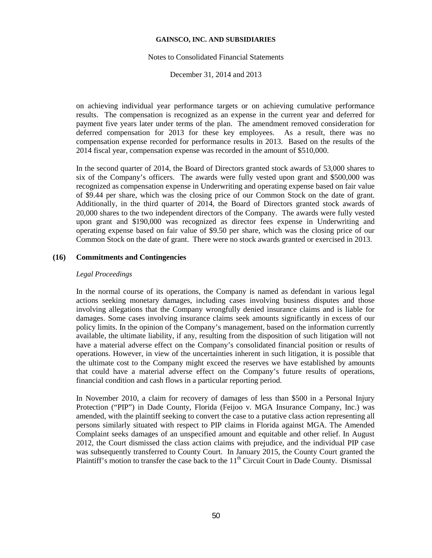#### Notes to Consolidated Financial Statements

December 31, 2014 and 2013

on achieving individual year performance targets or on achieving cumulative performance results. The compensation is recognized as an expense in the current year and deferred for payment five years later under terms of the plan. The amendment removed consideration for deferred compensation for 2013 for these key employees. As a result, there was no compensation expense recorded for performance results in 2013. Based on the results of the 2014 fiscal year, compensation expense was recorded in the amount of \$510,000.

In the second quarter of 2014, the Board of Directors granted stock awards of 53,000 shares to six of the Company's officers. The awards were fully vested upon grant and \$500,000 was recognized as compensation expense in Underwriting and operating expense based on fair value of \$9.44 per share, which was the closing price of our Common Stock on the date of grant. Additionally, in the third quarter of 2014, the Board of Directors granted stock awards of 20,000 shares to the two independent directors of the Company. The awards were fully vested upon grant and \$190,000 was recognized as director fees expense in Underwriting and operating expense based on fair value of \$9.50 per share, which was the closing price of our Common Stock on the date of grant. There were no stock awards granted or exercised in 2013.

## **(16) Commitments and Contingencies**

## *Legal Proceedings*

In the normal course of its operations, the Company is named as defendant in various legal actions seeking monetary damages, including cases involving business disputes and those involving allegations that the Company wrongfully denied insurance claims and is liable for damages. Some cases involving insurance claims seek amounts significantly in excess of our policy limits. In the opinion of the Company's management, based on the information currently available, the ultimate liability, if any, resulting from the disposition of such litigation will not have a material adverse effect on the Company's consolidated financial position or results of operations. However, in view of the uncertainties inherent in such litigation, it is possible that the ultimate cost to the Company might exceed the reserves we have established by amounts that could have a material adverse effect on the Company's future results of operations, financial condition and cash flows in a particular reporting period.

In November 2010, a claim for recovery of damages of less than \$500 in a Personal Injury Protection ("PIP") in Dade County, Florida (Feijoo v. MGA Insurance Company, Inc.) was amended, with the plaintiff seeking to convert the case to a putative class action representing all persons similarly situated with respect to PIP claims in Florida against MGA. The Amended Complaint seeks damages of an unspecified amount and equitable and other relief. In August 2012, the Court dismissed the class action claims with prejudice, and the individual PIP case was subsequently transferred to County Court. In January 2015, the County Court granted the Plaintiff's motion to transfer the case back to the  $11<sup>th</sup>$  Circuit Court in Dade County. Dismissal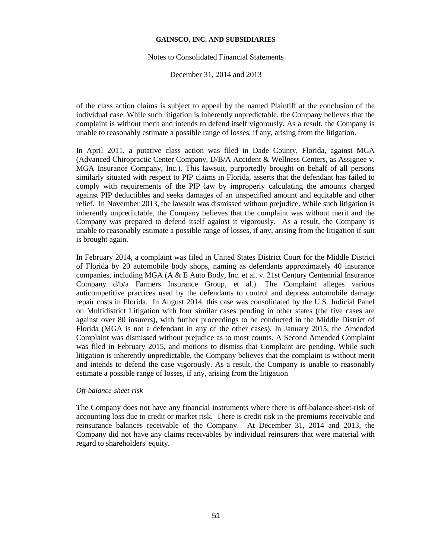#### Notes to Consolidated Financial Statements

December 31, 2014 and 2013

of the class action claims is subject to appeal by the named Plaintiff at the conclusion of the individual case. While such litigation is inherently unpredictable, the Company believes that the complaint is without merit and intends to defend itself vigorously. As a result, the Company is unable to reasonably estimate a possible range of losses, if any, arising from the litigation.

In April 2011, a putative class action was filed in Dade County, Florida, against MGA (Advanced Chiropractic Center Company, D/B/A Accident & Wellness Centers, as Assignee v. MGA Insurance Company, Inc.). This lawsuit, purportedly brought on behalf of all persons similarly situated with respect to PIP claims in Florida, asserts that the defendant has failed to comply with requirements of the PIP law by improperly calculating the amounts charged against PIP deductibles and seeks damages of an unspecified amount and equitable and other relief. In November 2013, the lawsuit was dismissed without prejudice. While such litigation is inherently unpredictable, the Company believes that the complaint was without merit and the Company was prepared to defend itself against it vigorously. As a result, the Company is unable to reasonably estimate a possible range of losses, if any, arising from the litigation if suit is brought again.

In February 2014, a complaint was filed in United States District Court for the Middle District of Florida by 20 automobile body shops, naming as defendants approximately 40 insurance companies, including MGA (A & E Auto Body, Inc. et al. v. 21st Century Centennial Insurance Company d/b/a Farmers Insurance Group, et al.). The Complaint alleges various anticompetitive practices used by the defendants to control and depress automobile damage repair costs in Florida. In August 2014, this case was consolidated by the U.S. Judicial Panel on Multidistrict Litigation with four similar cases pending in other states (the five cases are against over 80 insurers), with further proceedings to be conducted in the Middle District of Florida (MGA is not a defendant in any of the other cases). In January 2015, the Amended Complaint was dismissed without prejudice as to most counts. A Second Amended Complaint was filed in February 2015, and motions to dismiss that Complaint are pending. While such litigation is inherently unpredictable, the Company believes that the complaint is without merit and intends to defend the case vigorously. As a result, the Company is unable to reasonably estimate a possible range of losses, if any, arising from the litigation

### *Off-balance-sheet-risk*

The Company does not have any financial instruments where there is off-balance-sheet-risk of accounting loss due to credit or market risk. There is credit risk in the premiums receivable and reinsurance balances receivable of the Company. At December 31, 2014 and 2013, the Company did not have any claims receivables by individual reinsurers that were material with regard to shareholders' equity.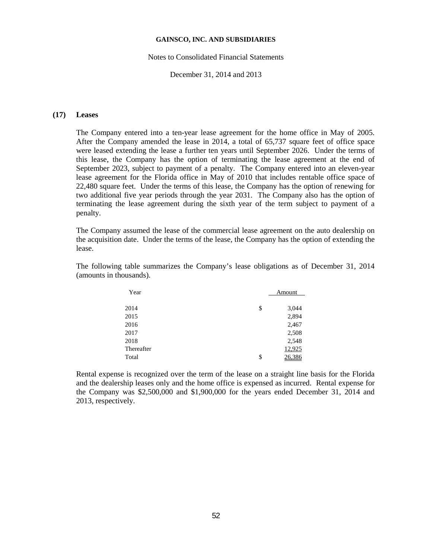#### Notes to Consolidated Financial Statements

December 31, 2014 and 2013

### **(17) Leases**

The Company entered into a ten-year lease agreement for the home office in May of 2005. After the Company amended the lease in 2014, a total of 65,737 square feet of office space were leased extending the lease a further ten years until September 2026. Under the terms of this lease, the Company has the option of terminating the lease agreement at the end of September 2023, subject to payment of a penalty. The Company entered into an eleven-year lease agreement for the Florida office in May of 2010 that includes rentable office space of 22,480 square feet. Under the terms of this lease, the Company has the option of renewing for two additional five year periods through the year 2031. The Company also has the option of terminating the lease agreement during the sixth year of the term subject to payment of a penalty.

The Company assumed the lease of the commercial lease agreement on the auto dealership on the acquisition date. Under the terms of the lease, the Company has the option of extending the lease.

The following table summarizes the Company's lease obligations as of December 31, 2014 (amounts in thousands).

| Year       | Amount       |
|------------|--------------|
|            |              |
| 2014       | \$<br>3,044  |
| 2015       | 2,894        |
| 2016       | 2,467        |
| 2017       | 2,508        |
| 2018       | 2,548        |
| Thereafter | 12,925       |
| Total      | \$<br>26.386 |

Rental expense is recognized over the term of the lease on a straight line basis for the Florida and the dealership leases only and the home office is expensed as incurred. Rental expense for the Company was \$2,500,000 and \$1,900,000 for the years ended December 31, 2014 and 2013, respectively.